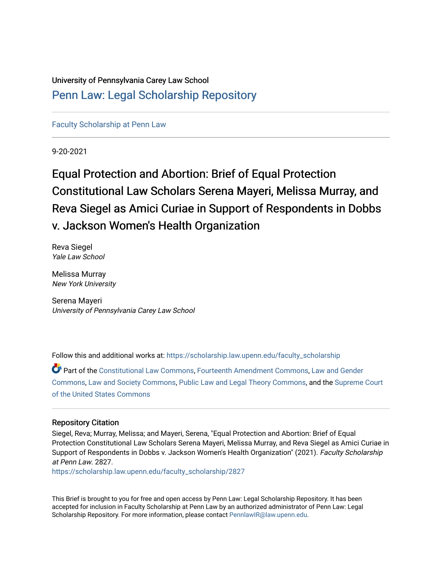## University of Pennsylvania Carey Law School [Penn Law: Legal Scholarship Repository](https://scholarship.law.upenn.edu/)

[Faculty Scholarship at Penn Law](https://scholarship.law.upenn.edu/faculty_scholarship)

9-20-2021

# Equal Protection and Abortion: Brief of Equal Protection Constitutional Law Scholars Serena Mayeri, Melissa Murray, and Reva Siegel as Amici Curiae in Support of Respondents in Dobbs v. Jackson Women's Health Organization

Reva Siegel Yale Law School

Melissa Murray New York University

Serena Mayeri University of Pennsylvania Carey Law School

Follow this and additional works at: [https://scholarship.law.upenn.edu/faculty\\_scholarship](https://scholarship.law.upenn.edu/faculty_scholarship?utm_source=scholarship.law.upenn.edu%2Ffaculty_scholarship%2F2827&utm_medium=PDF&utm_campaign=PDFCoverPages) 

Part of the [Constitutional Law Commons,](http://network.bepress.com/hgg/discipline/589?utm_source=scholarship.law.upenn.edu%2Ffaculty_scholarship%2F2827&utm_medium=PDF&utm_campaign=PDFCoverPages) [Fourteenth Amendment Commons](http://network.bepress.com/hgg/discipline/1116?utm_source=scholarship.law.upenn.edu%2Ffaculty_scholarship%2F2827&utm_medium=PDF&utm_campaign=PDFCoverPages), [Law and Gender](http://network.bepress.com/hgg/discipline/1298?utm_source=scholarship.law.upenn.edu%2Ffaculty_scholarship%2F2827&utm_medium=PDF&utm_campaign=PDFCoverPages)  [Commons](http://network.bepress.com/hgg/discipline/1298?utm_source=scholarship.law.upenn.edu%2Ffaculty_scholarship%2F2827&utm_medium=PDF&utm_campaign=PDFCoverPages), [Law and Society Commons,](http://network.bepress.com/hgg/discipline/853?utm_source=scholarship.law.upenn.edu%2Ffaculty_scholarship%2F2827&utm_medium=PDF&utm_campaign=PDFCoverPages) [Public Law and Legal Theory Commons,](http://network.bepress.com/hgg/discipline/871?utm_source=scholarship.law.upenn.edu%2Ffaculty_scholarship%2F2827&utm_medium=PDF&utm_campaign=PDFCoverPages) and the [Supreme Court](http://network.bepress.com/hgg/discipline/1350?utm_source=scholarship.law.upenn.edu%2Ffaculty_scholarship%2F2827&utm_medium=PDF&utm_campaign=PDFCoverPages)  [of the United States Commons](http://network.bepress.com/hgg/discipline/1350?utm_source=scholarship.law.upenn.edu%2Ffaculty_scholarship%2F2827&utm_medium=PDF&utm_campaign=PDFCoverPages)

#### Repository Citation

Siegel, Reva; Murray, Melissa; and Mayeri, Serena, "Equal Protection and Abortion: Brief of Equal Protection Constitutional Law Scholars Serena Mayeri, Melissa Murray, and Reva Siegel as Amici Curiae in Support of Respondents in Dobbs v. Jackson Women's Health Organization" (2021). Faculty Scholarship at Penn Law. 2827.

[https://scholarship.law.upenn.edu/faculty\\_scholarship/2827](https://scholarship.law.upenn.edu/faculty_scholarship/2827?utm_source=scholarship.law.upenn.edu%2Ffaculty_scholarship%2F2827&utm_medium=PDF&utm_campaign=PDFCoverPages)

This Brief is brought to you for free and open access by Penn Law: Legal Scholarship Repository. It has been accepted for inclusion in Faculty Scholarship at Penn Law by an authorized administrator of Penn Law: Legal Scholarship Repository. For more information, please contact [PennlawIR@law.upenn.edu.](mailto:PennlawIR@law.upenn.edu)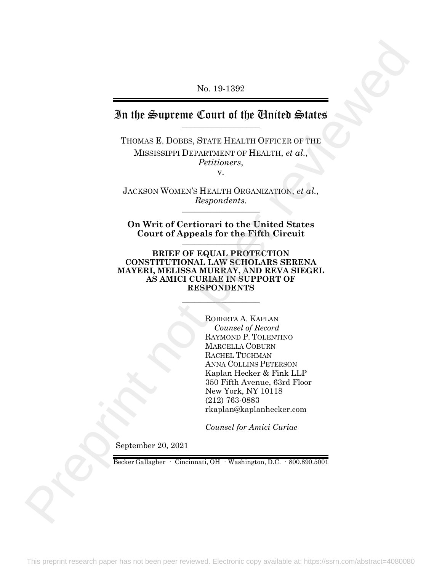No. 19-1392

## In the Supreme Court of the United States

THOMAS E. DOBBS, STATE HEALTH OFFICER OF THE MISSISSIPPI DEPARTMENT OF HEALTH, *et al.*, *Petitioners*, v.

JACKSON WOMEN'S HEALTH ORGANIZATION, *et al.*,  $Respondents.$ 

**On Writ of Certiorari to the United States Court of Appeals for the Fifth Circuit** \_\_\_\_\_\_\_\_\_\_\_\_\_\_\_\_\_\_

**BRIEF OF EQUAL PROTECTION CONSTITUTIONAL LAW SCHOLARS SERENA MAYERI, MELISSA MURRAY, AND REVA SIEGEL AS AMICI CURIAE IN SUPPORT OF RESPONDENTS**

 $\frac{1}{2}$ 

ROBERTA A. KAPLAN *Counsel of Record* RAYMOND P. TOLENTINO MARCELLA COBURN RACHEL TUCHMAN ANNA COLLINS PETERSON Kaplan Hecker & Fink LLP 350 Fifth Avenue, 63rd Floor New York, NY 10118 (212) 763-0883 rkaplan@kaplanhecker.com No. 19-1392<br>
Thus  $\frac{1}{2}$  and the Ethical Selation Section of the Ethical Selation<br>
Thus as R Domme, Section 19-count of the Children Selation<br>
MISSISSIPPH DEVICE THEORY HEALTH, et al.,<br>
ALCESON WONDENS HEALTH ORGANIZAT

*Counsel for Amici Curiae*

September 20, 2021

Becker Gallagher · Cincinnati, OH · Washington, D.C. · 800.890.5001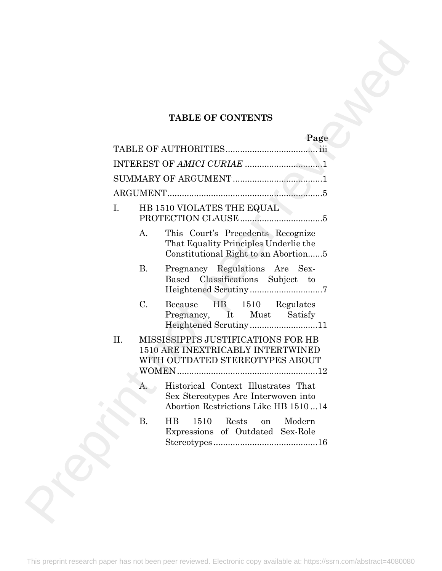## **TABLE OF CONTENTS**

|     |                 | <b>TABLE OF CONTENTS</b>                                                                                           |
|-----|-----------------|--------------------------------------------------------------------------------------------------------------------|
|     |                 | Page                                                                                                               |
|     |                 |                                                                                                                    |
|     |                 |                                                                                                                    |
|     |                 |                                                                                                                    |
| I.  |                 | HB 1510 VIOLATES THE EQUAL                                                                                         |
|     | A.              | This Court's Precedents Recognize<br>That Equality Principles Underlie the<br>Constitutional Right to an Abortion  |
|     | <b>B.</b>       | Pregnancy Regulations Are Sex-<br>Based Classifications Subject to                                                 |
|     | $\mathcal{C}$ . | Because<br>HB<br>1510 Regulates<br>Pregnancy, It Must<br>Satisfy                                                   |
| II. |                 | MISSISSIPPI'S JUSTIFICATIONS FOR HB<br>1510 ARE INEXTRICABLY INTERTWINED<br>WITH OUTDATED STEREOTYPES ABOUT        |
|     | A.              | Historical Context Illustrates That<br>Sex Stereotypes Are Interwoven into<br>Abortion Restrictions Like HB 151014 |
|     | Β.              | $\overline{HB}$<br>Rests<br>1510<br>Modern<br>on<br>Expressions of Outdated Sex-Role                               |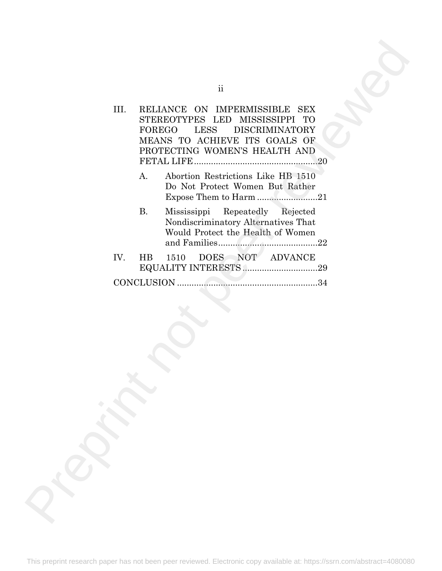|      |           | $\rm ii$                                                                                                                                                        |
|------|-----------|-----------------------------------------------------------------------------------------------------------------------------------------------------------------|
| III. |           | RELIANCE ON IMPERMISSIBLE SEX<br>STEREOTYPES LED MISSISSIPPI TO<br>FOREGO LESS DISCRIMINATORY<br>MEANS TO ACHIEVE ITS GOALS OF<br>PROTECTING WOMEN'S HEALTH AND |
|      | A.        | Abortion Restrictions Like HB 1510<br>Do Not Protect Women But Rather<br>Expose Them to Harm 21                                                                 |
|      | <b>B.</b> | Mississippi<br>Repeatedly Rejected<br>Nondiscriminatory Alternatives That<br>Would Protect the Health of Women                                                  |
| IV.  | HB        | DOES NOT ADVANCE<br>1510                                                                                                                                        |
|      |           |                                                                                                                                                                 |
|      |           |                                                                                                                                                                 |
|      |           |                                                                                                                                                                 |
|      |           |                                                                                                                                                                 |
|      |           |                                                                                                                                                                 |
|      |           |                                                                                                                                                                 |
|      |           |                                                                                                                                                                 |
|      |           |                                                                                                                                                                 |
|      |           |                                                                                                                                                                 |
|      |           |                                                                                                                                                                 |
|      |           |                                                                                                                                                                 |
|      |           |                                                                                                                                                                 |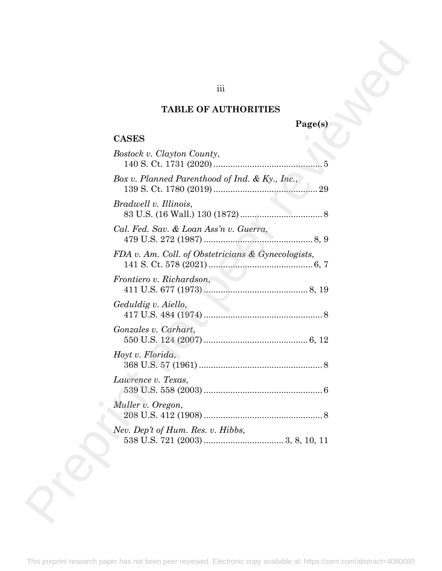### **TABLE OF AUTHORITIES**

## **Page(s)**

### **CASES**

| $\overline{\text{iii}}$                            |         |
|----------------------------------------------------|---------|
| <b>TABLE OF AUTHORITIES</b>                        |         |
| <b>CASES</b>                                       | Page(s) |
| Bostock v. Clayton County,                         |         |
| Box v. Planned Parenthood of Ind. & Ky., Inc.,     |         |
| Bradwell v. Illinois,                              |         |
| Cal. Fed. Sav. & Loan Ass'n v. Guerra,             |         |
| FDA v. Am. Coll. of Obstetricians & Gynecologists, |         |
| Frontiero v. Richardson,                           |         |
| Geduldig v. Aiello,                                |         |
| Gonzales v. Carhart,                               |         |
| Hoyt v. Florida,                                   |         |
| Lawrence v. Texas,                                 |         |
| Muller v. Oregon,                                  |         |
| Nev. Dep't of Hum. Res. v. Hibbs,                  |         |

This preprint research paper has not been peer reviewed. Electronic copy available at: https://ssrn.com/abstract=4080080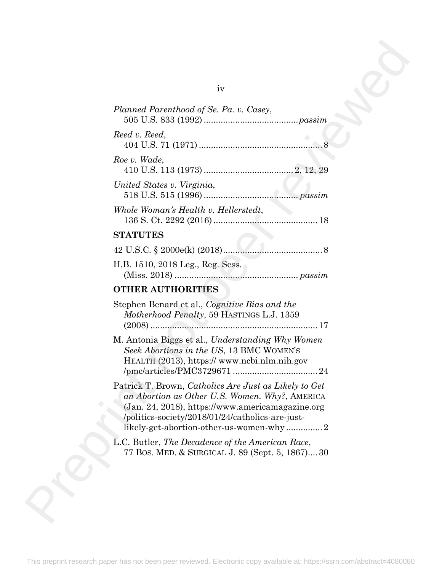| iv                                                                                                                                                                                                                                                         |
|------------------------------------------------------------------------------------------------------------------------------------------------------------------------------------------------------------------------------------------------------------|
| Planned Parenthood of Se. Pa. v. Casey,                                                                                                                                                                                                                    |
| Reed v. Reed,                                                                                                                                                                                                                                              |
| Roe v. Wade,                                                                                                                                                                                                                                               |
| United States v. Virginia,                                                                                                                                                                                                                                 |
| Whole Woman's Health v. Hellerstedt,                                                                                                                                                                                                                       |
| <b>STATUTES</b>                                                                                                                                                                                                                                            |
|                                                                                                                                                                                                                                                            |
| H.B. 1510, 2018 Leg., Reg. Sess.                                                                                                                                                                                                                           |
| <b>OTHER AUTHORITIES</b>                                                                                                                                                                                                                                   |
| Stephen Benard et al., Cognitive Bias and the<br>Motherhood Penalty, 59 HASTINGS L.J. 1359                                                                                                                                                                 |
| M. Antonia Biggs et al., Understanding Why Women<br>Seek Abortions in the US, 13 BMC WOMEN'S<br>HEALTH (2013), https:// www.ncbi.nlm.nih.gov                                                                                                               |
| Patrick T. Brown, Catholics Are Just as Likely to Get<br>an Abortion as Other U.S. Women. Why?, AMERICA<br>(Jan. 24, 2018), https://www.americamagazine.org<br>/politics-society/2018/01/24/catholics-are-just-<br>likely-get-abortion-other-us-women-why2 |
| L.C. Butler, The Decadence of the American Race,<br>77 Bos. MED. & SURGICAL J. 89 (Sept. 5, 1867)30                                                                                                                                                        |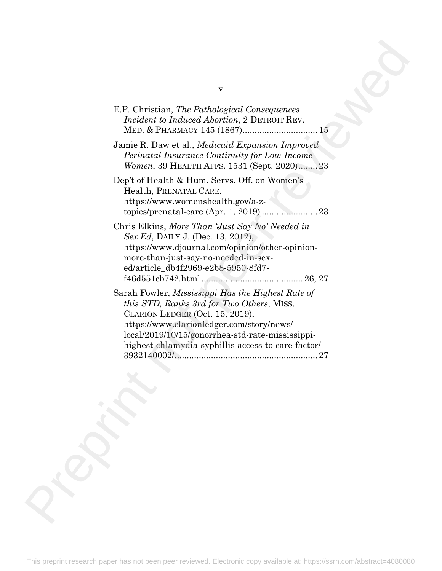| v                                                                                                                                                                                                                                                                                                      |  |
|--------------------------------------------------------------------------------------------------------------------------------------------------------------------------------------------------------------------------------------------------------------------------------------------------------|--|
| E.P. Christian, The Pathological Consequences<br>Incident to Induced Abortion, 2 DETROIT REV.                                                                                                                                                                                                          |  |
| Jamie R. Daw et al., <i>Medicaid Expansion Improved</i><br>Perinatal Insurance Continuity for Low-Income<br>Women, 39 HEALTH AFFS. 1531 (Sept. 2020)23                                                                                                                                                 |  |
| Dep't of Health & Hum. Servs. Off. on Women's<br>Health, PRENATAL CARE,<br>https://www.womenshealth.gov/a-z-                                                                                                                                                                                           |  |
| Chris Elkins, More Than 'Just Say No' Needed in<br>Sex Ed, DAILY J. (Dec. 13, 2012),<br>https://www.djournal.com/opinion/other-opinion-<br>more-than-just-say-no-needed-in-sex-<br>ed/article_db4f2969-e2b8-5950-8fd7-                                                                                 |  |
| Sarah Fowler, Mississippi Has the Highest Rate of<br><i>this STD, Ranks 3rd for Two Others, MISS.</i><br>CLARION LEDGER (Oct. 15, 2019),<br>https://www.clarionledger.com/story/news/<br>local/2019/10/15/gonorrhea-std-rate-mississippi-<br>highest-chlamydia-syphillis-access-to-care-factor/<br>-27 |  |
|                                                                                                                                                                                                                                                                                                        |  |
|                                                                                                                                                                                                                                                                                                        |  |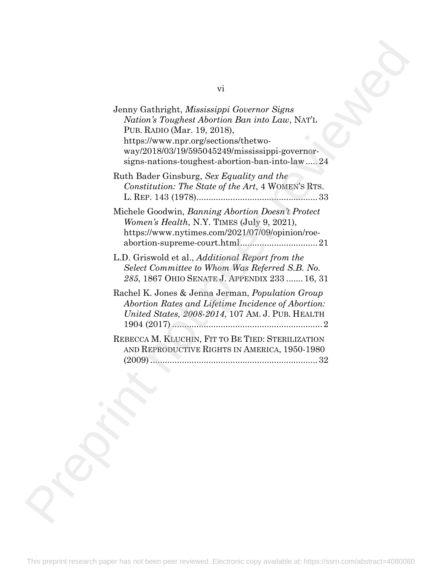| vi<br>Jenny Gathright, Mississippi Governor Signs<br>Nation's Toughest Abortion Ban into Law, NAT'L<br>PUB. RADIO (Mar. 19, 2018),<br>https://www.npr.org/sections/thetwo-<br>way/2018/03/19/595045249/mississippi-governor-<br>signs-nations-toughest-abortion-ban-into-law24<br>Ruth Bader Ginsburg, Sex Equality and the<br>Constitution: The State of the Art, 4 WOMEN'S RTS.<br>Michele Goodwin, Banning Abortion Doesn't Protect<br>Women's Health, N.Y. TIMES (July 9, 2021),<br>https://www.nytimes.com/2021/07/09/opinion/roe-<br>L.D. Griswold et al., <i>Additional Report from the</i><br>Select Committee to Whom Was Referred S.B. No.<br>285, 1867 OHIO SENATE J. APPENDIX 233  16, 31<br>Rachel K. Jones & Jenna Jerman, Population Group<br>Abortion Rates and Lifetime Incidence of Abortion:<br>United States, 2008-2014, 107 AM. J. PUB. HEALTH |  |
|---------------------------------------------------------------------------------------------------------------------------------------------------------------------------------------------------------------------------------------------------------------------------------------------------------------------------------------------------------------------------------------------------------------------------------------------------------------------------------------------------------------------------------------------------------------------------------------------------------------------------------------------------------------------------------------------------------------------------------------------------------------------------------------------------------------------------------------------------------------------|--|
|                                                                                                                                                                                                                                                                                                                                                                                                                                                                                                                                                                                                                                                                                                                                                                                                                                                                     |  |
|                                                                                                                                                                                                                                                                                                                                                                                                                                                                                                                                                                                                                                                                                                                                                                                                                                                                     |  |
|                                                                                                                                                                                                                                                                                                                                                                                                                                                                                                                                                                                                                                                                                                                                                                                                                                                                     |  |
|                                                                                                                                                                                                                                                                                                                                                                                                                                                                                                                                                                                                                                                                                                                                                                                                                                                                     |  |
|                                                                                                                                                                                                                                                                                                                                                                                                                                                                                                                                                                                                                                                                                                                                                                                                                                                                     |  |
|                                                                                                                                                                                                                                                                                                                                                                                                                                                                                                                                                                                                                                                                                                                                                                                                                                                                     |  |
| REBECCA M. KLUCHIN, FIT TO BE TIED: STERILIZATION<br>AND REPRODUCTIVE RIGHTS IN AMERICA, 1950-1980                                                                                                                                                                                                                                                                                                                                                                                                                                                                                                                                                                                                                                                                                                                                                                  |  |
|                                                                                                                                                                                                                                                                                                                                                                                                                                                                                                                                                                                                                                                                                                                                                                                                                                                                     |  |
|                                                                                                                                                                                                                                                                                                                                                                                                                                                                                                                                                                                                                                                                                                                                                                                                                                                                     |  |
|                                                                                                                                                                                                                                                                                                                                                                                                                                                                                                                                                                                                                                                                                                                                                                                                                                                                     |  |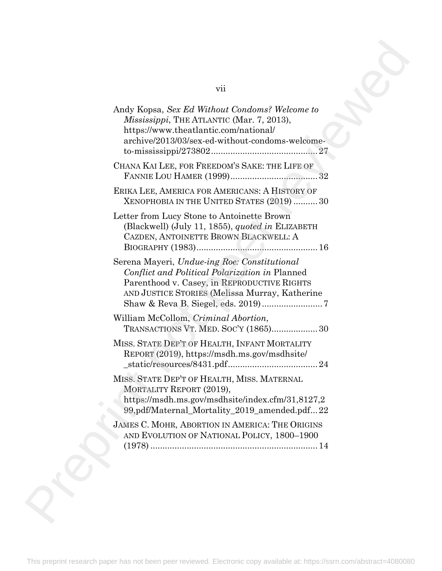| vii                                                                                                                                                                                             |
|-------------------------------------------------------------------------------------------------------------------------------------------------------------------------------------------------|
| Andy Kopsa, Sex Ed Without Condoms? Welcome to<br><i>Mississippi</i> , THE ATLANTIC (Mar. 7, 2013),<br>https://www.theatlantic.com/national/<br>archive/2013/03/sex-ed-without-condoms-welcome- |
| CHANA KAI LEE, FOR FREEDOM'S SAKE: THE LIFE OF                                                                                                                                                  |
| ERIKA LEE, AMERICA FOR AMERICANS: A HISTORY OF<br>XENOPHOBIA IN THE UNITED STATES (2019)  30                                                                                                    |
| Letter from Lucy Stone to Antoinette Brown<br>(Blackwell) (July 11, 1855), <i>quoted in</i> ELIZABETH<br>CAZDEN, ANTOINETTE BROWN BLACKWELL: A                                                  |
| Serena Mayeri, Undue-ing Roe: Constitutional<br>Conflict and Political Polarization in Planned<br>Parenthood v. Casey, in REPRODUCTIVE RIGHTS<br>AND JUSTICE STORIES (Melissa Murray, Katherine |
| William McCollom, Criminal Abortion,<br>TRANSACTIONS VT. MED. SOC'Y (1865) 30                                                                                                                   |
| MISS. STATE DEP'T OF HEALTH, INFANT MORTALITY<br>REPORT (2019), https://msdh.ms.gov/msdhsite/                                                                                                   |
| MISS. STATE DEP'T OF HEALTH, MISS. MATERNAL<br>MORTALITY REPORT (2019),<br>https://msdh.ms.gov/msdhsite/index.cfm/31,8127,2<br>99,pdf/Maternal_Mortality_2019_amended.pdf22                     |
| JAMES C. MOHR, ABORTION IN AMERICA: THE ORIGINS<br>AND EVOLUTION OF NATIONAL POLICY, 1800-1900                                                                                                  |
|                                                                                                                                                                                                 |
|                                                                                                                                                                                                 |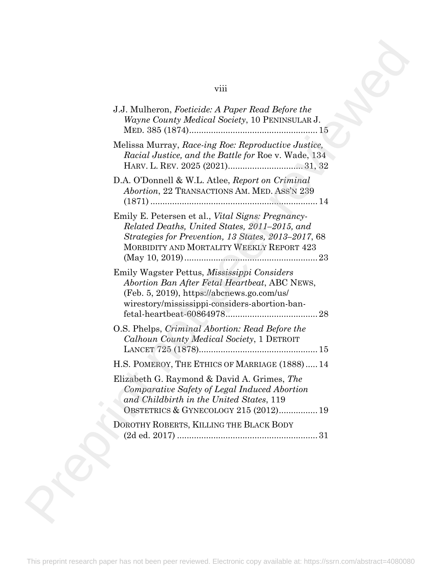## viii

| viii                                                                                                                                                                                                           |
|----------------------------------------------------------------------------------------------------------------------------------------------------------------------------------------------------------------|
| J.J. Mulheron, Foeticide: A Paper Read Before the<br><i>Wayne County Medical Society, 10 PENINSULAR J.</i>                                                                                                     |
| Melissa Murray, Race-ing Roe: Reproductive Justice,<br>Racial Justice, and the Battle for Roe v. Wade, 134                                                                                                     |
| D.A. O'Donnell & W.L. Atlee, Report on Criminal<br>Abortion, 22 TRANSACTIONS AM. MED. ASS'N 239                                                                                                                |
| Emily E. Petersen et al., <i>Vital Signs: Pregnancy</i> -<br>Related Deaths, United States, 2011–2015, and<br>Strategies for Prevention, 13 States, 2013–2017, 68<br>MORBIDITY AND MORTALITY WEEKLY REPORT 423 |
| Emily Wagster Pettus, <i>Mississippi Considers</i><br>Abortion Ban After Fetal Heartbeat, ABC NEWS,<br>$(Feb. 5, 2019)$ , https://abcnews.go.com/us/<br>wirestory/mississippi-considers-abortion-ban-          |
| O.S. Phelps, Criminal Abortion: Read Before the<br>Calhoun County Medical Society, 1 DETROIT                                                                                                                   |
| H.S. POMEROY, THE ETHICS OF MARRIAGE (1888)  14                                                                                                                                                                |
| Elizabeth G. Raymond & David A. Grimes, The<br>Comparative Safety of Legal Induced Abortion<br>and Childbirth in the United States, 119<br>OBSTETRICS & GYNECOLOGY 215 (2012) 19                               |
| DOROTHY ROBERTS, KILLING THE BLACK BODY                                                                                                                                                                        |
|                                                                                                                                                                                                                |
|                                                                                                                                                                                                                |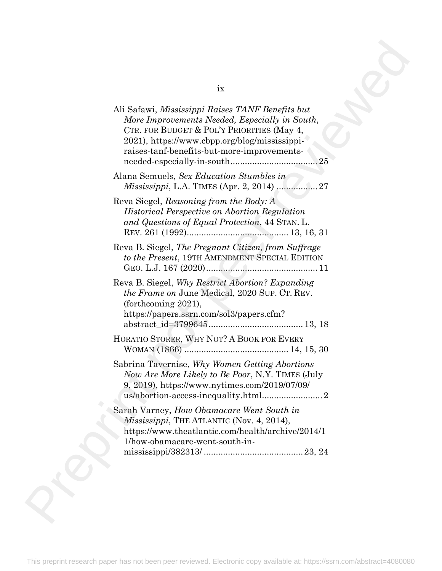| ix                                                                                                                                                                                                                                                      |
|---------------------------------------------------------------------------------------------------------------------------------------------------------------------------------------------------------------------------------------------------------|
| Ali Safawi, Mississippi Raises TANF Benefits but<br>More Improvements Needed, Especially in South,<br>CTR. FOR BUDGET & POL'Y PRIORITIES (May 4,<br>2021), https://www.cbpp.org/blog/mississippi-<br>raises-tanf-benefits-but-more-improvements-<br>.25 |
| Alana Semuels, Sex Education Stumbles in                                                                                                                                                                                                                |
| Reva Siegel, Reasoning from the Body: A<br><b>Historical Perspective on Abortion Regulation</b><br>and Questions of Equal Protection, 44 STAN. L.                                                                                                       |
| Reva B. Siegel, The Pregnant Citizen, from Suffrage<br>to the Present, 19TH AMENDMENT SPECIAL EDITION                                                                                                                                                   |
| Reva B. Siegel, Why Restrict Abortion? Expanding<br><i>the Frame on June Medical, 2020 SUP. CT. REV.</i><br>(forthcoming $2021$ ),<br>https://papers.ssrn.com/sol3/papers.cfm?                                                                          |
| HORATIO STORER, WHY NOT? A BOOK FOR EVERY                                                                                                                                                                                                               |
| Sabrina Tavernise, Why Women Getting Abortions<br>Now Are More Likely to Be Poor, N.Y. TIMES (July<br>9, 2019), https://www.nytimes.com/2019/07/09/                                                                                                     |
| Sarah Varney, How Obamacare Went South in<br><i>Mississippi</i> , THE ATLANTIC (Nov. 4, 2014),<br>https://www.theatlantic.com/health/archive/2014/1<br>1/how-obamacare-went-south-in-                                                                   |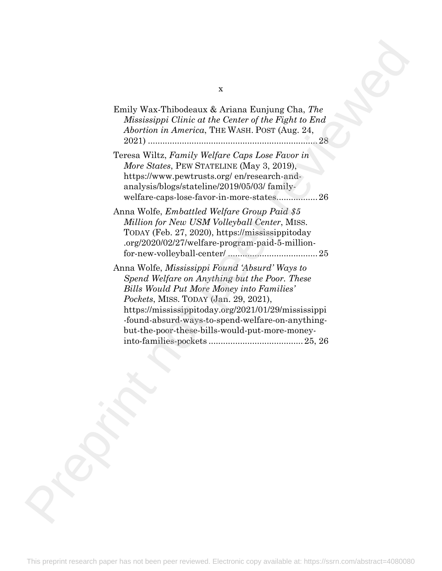| X                                                                                                                                                                                                                                                                                                                                                         |  |
|-----------------------------------------------------------------------------------------------------------------------------------------------------------------------------------------------------------------------------------------------------------------------------------------------------------------------------------------------------------|--|
| Emily Wax-Thibodeaux & Ariana Eunjung Cha, The<br>Mississippi Clinic at the Center of the Fight to End<br>Abortion in America, THE WASH. POST (Aug. 24,<br>28                                                                                                                                                                                             |  |
| Teresa Wiltz, Family Welfare Caps Lose Favor in<br>More States, PEW STATELINE (May 3, 2019),<br>https://www.pewtrusts.org/en/research-and-<br>analysis/blogs/stateline/2019/05/03/family-<br>welfare-caps-lose-favor-in-more-states26                                                                                                                     |  |
| Anna Wolfe, <i>Embattled Welfare Group Paid</i> \$5<br>Million for New USM Volleyball Center, MISS.<br>TODAY (Feb. 27, 2020), https://mississippitoday<br>.org/2020/02/27/welfare-program-paid-5-million-                                                                                                                                                 |  |
| Anna Wolfe, <i>Mississippi Found 'Absurd' Ways to</i><br>Spend Welfare on Anything but the Poor. These<br>Bills Would Put More Money into Families'<br>Pockets, MISS. TODAY (Jan. 29, 2021),<br>https://mississippitoday.org/2021/01/29/mississippi<br>-found-absurd-ways-to-spend-welfare-on-anything-<br>but-the-poor-these-bills-would-put-more-money- |  |
|                                                                                                                                                                                                                                                                                                                                                           |  |
|                                                                                                                                                                                                                                                                                                                                                           |  |
|                                                                                                                                                                                                                                                                                                                                                           |  |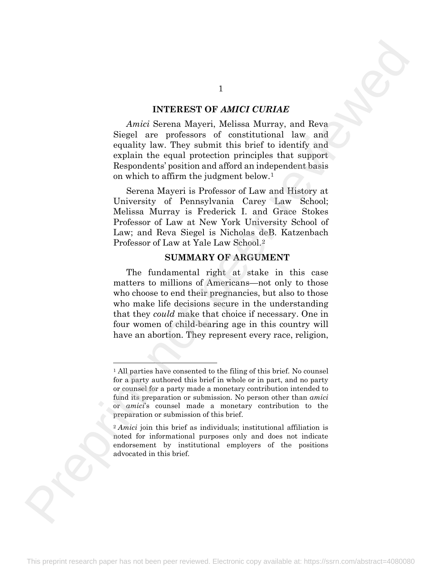#### **INTEREST OF** *AMICI CURIAE*

*Amici* Serena Mayeri, Melissa Murray, and Reva Siegel are professors of constitutional law and equality law. They submit this brief to identify and explain the equal protection principles that support Respondents' position and afford an independent basis on which to affirm the judgment below.1

Serena Mayeri is Professor of Law and History at University of Pennsylvania Carey Law School; Melissa Murray is Frederick I. and Grace Stokes Professor of Law at New York University School of Law; and Reva Siegel is Nicholas deB. Katzenbach Professor of Law at Yale Law School.2

#### **SUMMARY OF ARGUMENT**

The fundamental right at stake in this case matters to millions of Americans—not only to those who choose to end their pregnancies, but also to those who make life decisions secure in the understanding that they *could* make that choice if necessary. One in four women of child-bearing age in this country will have an abortion. They represent every race, religion, 1<br>
NITEREST OF AMICI CURIAE<br>
Anici Sev[er](#page-12-1)a Mayeri, Melisan Murray, and Reva<br>
Siggi are professore of constitutional law until<br>
equality have. They submit this brief to identify and<br>
equality have. They submit this brief to

1

<span id="page-12-0"></span><sup>1</sup> All parties have consented to the filing of this brief. No counsel for a party authored this brief in whole or in part, and no party or counsel for a party made a monetary contribution intended to fund its preparation or submission. No person other than *amici* or *amici*'s counsel made a monetary contribution to the preparation or submission of this brief.

<span id="page-12-1"></span><sup>&</sup>lt;sup>2</sup> *Amici* join this brief as individuals; institutional affiliation is noted for informational purposes only and does not indicate endorsement by institutional employers of the positions advocated in this brief.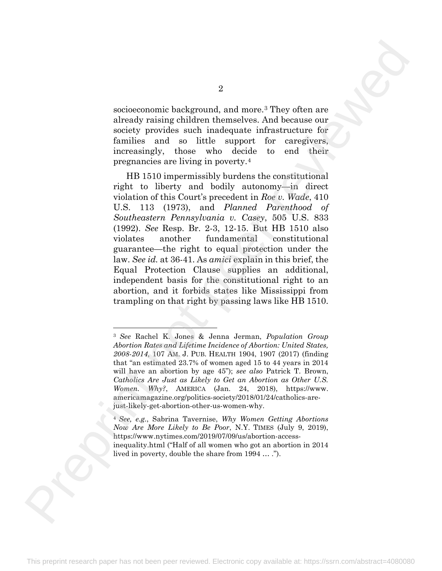socioeconomic background, and more.3 They often are already raising children themselves. And because our society provides such inadequate infrastructure for families and so little support for caregivers, increasingly, those who decide to end their pregnancies are living in poverty.4

HB 1510 impermissibly burdens the constitutional right to liberty and bodily autonomy—in direct violation of this Court's precedent in *Roe v. Wade*, 410 U.S. 113 (1973), and *Planned Parenthood of Southeastern Pennsylvania v. Casey*, 505 U.S. 833 (1992). *See* Resp. Br. 2-3, 12-15. But HB 1510 also violates another fundamental constitutional guarantee—the right to equal protection under the law. *See id.* at 36-41. As *amici* explain in this brief, the Equal Protection Clause supplies an additional, independent basis for the constitutional right to an abortion, and it forbids states like Mississippi from trampling on that right by passing laws like HB 1510. 2<br>
accioes<br>conomic background, and more-7They often are then<br>ady rating children themselves, And because our finality and per reviewed<br>the cause of the signal on the signal of the signal of the constitutional<br>
represented

<span id="page-13-0"></span><sup>3</sup> *See* Rachel K. Jones & Jenna Jerman, *Population Group Abortion Rates and Lifetime Incidence of Abortion: United States, 2008-2014*, 107 AM. J. PUB. HEALTH 1904, 1907 (2017) (finding that "an estimated 23.7% of women aged 15 to 44 years in 2014 will have an abortion by age 45"); *see also* Patrick T. Brown, *Catholics Are Just as Likely to Get an Abortion as Other U.S. Women. Why?*, AMERICA (Jan. 24, 2018), https://www. americamagazine.org/politics-society/2018/01/24/catholics-arejust-likely-get-abortion-other-us-women-why.

<span id="page-13-1"></span><sup>4</sup> *See, e.g.*, Sabrina Tavernise, *Why Women Getting Abortions Now Are More Likely to Be Poor*, N.Y. TIMES (July 9, 2019), https://www.nytimes.com/2019/07/09/us/abortion-accessinequality.html ("Half of all women who got an abortion in 2014 lived in poverty, double the share from 1994 … .").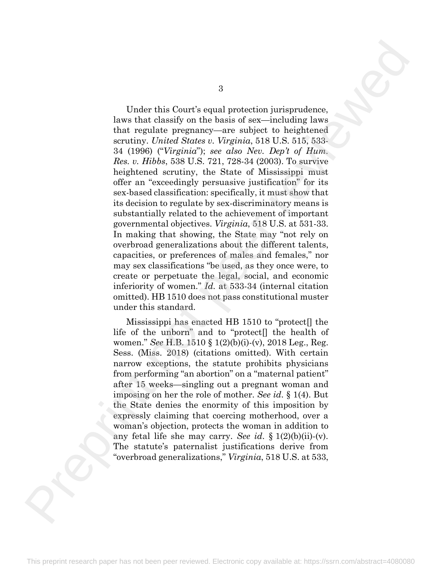Under this Court's equal protection jurisprudence, laws that classify on the basis of sex—including laws that regulate pregnancy—are subject to heightened scrutiny. *United States v. Virginia*, 518 U.S. 515, 533- 34 (1996) ("*Virginia*"); *see also Nev. Dep't of Hum. Res. v. Hibbs*, 538 U.S. 721, 728-34 (2003). To survive heightened scrutiny, the State of Mississippi must offer an "exceedingly persuasive justification" for its sex-based classification: specifically, it must show that its decision to regulate by sex-discriminatory means is substantially related to the achievement of important governmental objectives. *Virginia*, 518 U.S. at 531-33. In making that showing, the State may "not rely on overbroad generalizations about the different talents, capacities, or preferences of males and females," nor may sex classifications "be used, as they once were, to create or perpetuate the legal, social, and economic inferiority of women." *Id.* at 533-34 (internal citation omitted). HB 1510 does not pass constitutional muster under this standard. Finder this Court's equal protection jurisprudence.<br>
Now that closely on the basis of revs—including lows<br>
near that the signal protection is the first not performed as the signal<br>
and the signal of the signal and the sig

Mississippi has enacted HB 1510 to "protect[] the life of the unborn" and to "protect[] the health of women." *See* H.B. 1510 § 1(2)(b)(i)-(v), 2018 Leg., Reg. Sess. (Miss. 2018) (citations omitted). With certain narrow exceptions, the statute prohibits physicians from performing "an abortion" on a "maternal patient" after 15 weeks—singling out a pregnant woman and imposing on her the role of mother. *See id*. § 1(4). But the State denies the enormity of this imposition by expressly claiming that coercing motherhood, over a woman's objection, protects the woman in addition to any fetal life she may carry. *See id*. § 1(2)(b)(ii)-(v). The statute's paternalist justifications derive from "overbroad generalizations," *Virginia*, 518 U.S. at 533,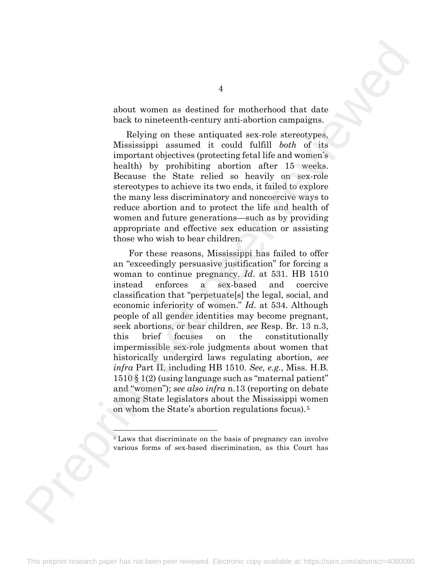about women as destined for motherhood that date back to nineteenth-century anti-abortion campaigns.

Relying on these antiquated sex-role stereotypes, Mississippi assumed it could fulfill *both* of its important objectives (protecting fetal life and women's health) by prohibiting abortion after 15 weeks. Because the State relied so heavily on sex-role stereotypes to achieve its two ends, it failed to explore the many less discriminatory and noncoercive ways to reduce abortion and to protect the life and health of women and future generations—such as by providing appropriate and effective sex education or assisting those who wish to bear children.

For these reasons, Mississippi has failed to offer an "exceedingly persuasive justification" for forcing a woman to continue pregnancy. *Id*. at 531. HB 1510 instead enforces a sex-based and coercive classification that "perpetuate[s] the legal, social, and economic inferiority of women." *Id*. at 534. Although people of all gender identities may become pregnant, seek abortions, or bear children, *see* Resp. Br. 13 n.3, this brief focuses on the constitutionally impermissible sex-role judgments about women that historically undergird laws regulating abortion, *see infra* Part II, including HB 1510. *See, e.g.*, Miss. H.B. 1510 § 1(2) (using language such as "maternal patient" and "women"); *see also infra* n.13 (reporting on debate among State legislators about the Mississippi women on whom the State's abortion regulations focus).5 Preprint not peer reviewed

<span id="page-15-0"></span><sup>&</sup>lt;sup>5</sup> Laws that discriminate on the basis of pregnancy can involve various forms of sex-based discrimination, as this Court has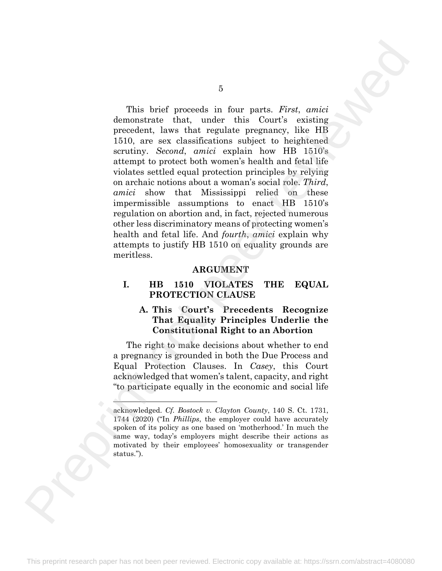This brief proceeds in four parts. *First*, *amici* demonstrate that, under this Court's existing precedent, laws that regulate pregnancy, like HB 1510, are sex classifications subject to heightened scrutiny. *Second*, *amici* explain how HB 1510's attempt to protect both women's health and fetal life violates settled equal protection principles by relying on archaic notions about a woman's social role. *Third*, *amici* show that Mississippi relied on these impermissible assumptions to enact HB 1510's regulation on abortion and, in fact, rejected numerous other less discriminatory means of protecting women's health and fetal life. And *fourth*, *amici* explain why attempts to justify HB 1510 on equality grounds are meritless. Fina brief precessed in four parts. First, onticle demonstrate that, under this Court's estimate and the control of the settle and the settle of the settle of the settle stress control of the stress control in the present

#### **ARGUMENT**

#### **I. HB 1510 VIOLATES THE EQUAL PROTECTION CLAUSE**

#### **A. This Court's Precedents Recognize That Equality Principles Underlie the Constitutional Right to an Abortion**

The right to make decisions about whether to end a pregnancy is grounded in both the Due Process and Equal Protection Clauses. In *Casey*, this Court acknowledged that women's talent, capacity, and right "to participate equally in the economic and social life

acknowledged. *Cf. Bostock v. Clayton County*, 140 S. Ct. 1731, 1744 (2020) ("In *Phillips*, the employer could have accurately spoken of its policy as one based on 'motherhood.' In much the same way, today's employers might describe their actions as motivated by their employees' homosexuality or transgender status.").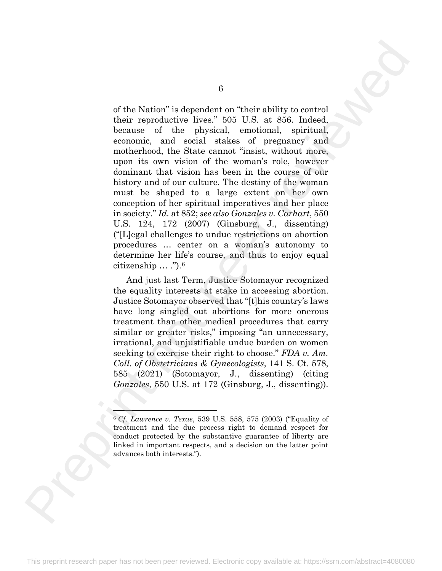of the Nation" is dependent on "their ability to control their reproductive lives." 505 U.S. at 856. Indeed, because of the physical, emotional, spiritual, economic, and social stakes of pregnancy and motherhood, the State cannot "insist, without more, upon its own vision of the woman's role, however dominant that vision has been in the course of our history and of our culture. The destiny of the woman must be shaped to a large extent on her own conception of her spiritual imperatives and her place in society." *Id.* at 852; *see also Gonzales v. Carhart*, 550 U.S. 124, 172 (2007) (Ginsburg, J., dissenting) ("[L]egal challenges to undue restrictions on abortion procedures … center on a woman's autonomy to determine her life's course, and thus to enjoy equal citizenship  $\ldots$  .").<sup>6</sup> B<br>
of the Nation" is dependent on "their ability to control<br>
their reproductive lives". Side i.e.s. as is a model of<br>
the reviewed in the state of any side in the regimeary. In<br>
concerning the state cannot "treated any de

And just last Term, Justice Sotomayor recognized the equality interests at stake in accessing abortion. Justice Sotomayor observed that "[t]his country's laws have long singled out abortions for more onerous treatment than other medical procedures that carry similar or greater risks," imposing "an unnecessary, irrational, and unjustifiable undue burden on women seeking to exercise their right to choose." *FDA v. Am. Coll. of Obstetricians & Gynecologists*, 141 S. Ct. 578, 585 (2021) (Sotomayor, J., dissenting) (citing *Gonzales*, 550 U.S. at 172 (Ginsburg, J., dissenting)).

6

<span id="page-17-0"></span><sup>6</sup> *Cf*. *Lawrence v. Texas*, 539 U.S. 558, 575 (2003) ("Equality of treatment and the due process right to demand respect for conduct protected by the substantive guarantee of liberty are linked in important respects, and a decision on the latter point advances both interests.").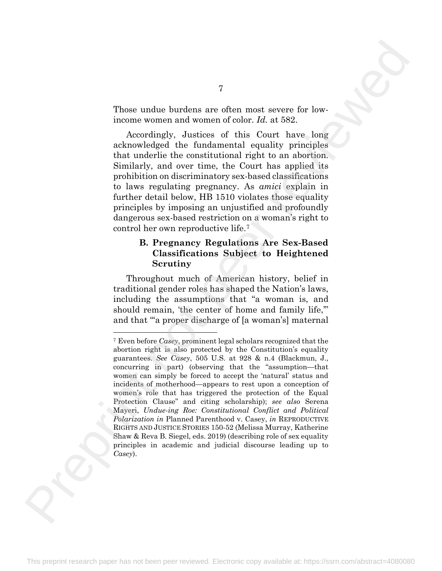Those undue burdens are often most severe for lowincome women and women of color. *Id.* at 582.

Accordingly, Justices of this Court have long acknowledged the fundamental equality principles that underlie the constitutional right to an abortion. Similarly, and over time, the Court has applied its prohibition on discriminatory sex-based classifications to laws regulating pregnancy. As *amici* explain in further detail below, HB 1510 violates those equality principles by imposing an unjustified and profoundly dangerous sex-based restriction on a woman's right to control her own reproductive life.7

#### **B. Pregnancy Regulations Are Sex-Based Classifications Subject to Heightened Scrutiny**

<span id="page-18-0"></span>Throughout much of American history, belief in traditional gender roles has shaped the Nation's laws, including the assumptions that "a woman is, and should remain, 'the center of home and family life,'" and that "'a proper discharge of [a woman's] maternal

<sup>7</sup> Even before *Casey*, prominent legal scholars recognized that the abortion right is also protected by the Constitution's equality guarantees. *See Casey*, 505 U.S. at 928 & n.4 (Blackmun, J., concurring in part) (observing that the "assumption—that women can simply be forced to accept the 'natural' status and incidents of motherhood—appears to rest upon a conception of women's role that has triggered the protection of the Equal Protection Clause" and citing scholarship); *see also* Serena Mayeri, *Undue-ing Roe: Constitutional Conflict and Political Polarization in* Planned Parenthood v. Casey, *in* REPRODUCTIVE RIGHTS AND JUSTICE STORIES 150-52 (Melissa Murray, Katherine Shaw & Reva B. Siegel, eds. 2019) (describing role of sex equality principles in academic and judicial discourse leading up to *Casey*). Thos[e](#page-18-0) under bursten are often most assess for low-<br>theory women and women of color. Id. at 582,<br>exchanged the functions relationship is constrained equality perinciples<br>calculately due to construct the periodic periodic s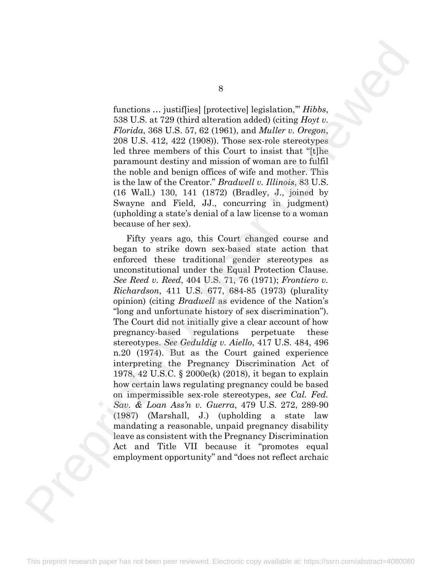functions … justif[ies] [protective] legislation,'" *Hibbs*, 538 U.S. at 729 (third alteration added) (citing *Hoyt v. Florida*, 368 U.S. 57, 62 (1961), and *Muller v. Oregon*, 208 U.S. 412, 422 (1908)). Those sex-role stereotypes led three members of this Court to insist that "[t]he paramount destiny and mission of woman are to fulfil the noble and benign offices of wife and mother. This is the law of the Creator." *Bradwell v. Illinois*, 83 U.S. (16 Wall.) 130, 141 (1872) (Bradley, J., joined by Swayne and Field, JJ., concurring in judgment) (upholding a state's denial of a law license to a woman because of her sex).

Fifty years ago, this Court changed course and began to strike down sex-based state action that enforced these traditional gender stereotypes as unconstitutional under the Equal Protection Clause. *See Reed v. Reed*, 404 U.S. 71, 76 (1971); *Frontiero v. Richardson*, 411 U.S. 677, 684-85 (1973) (plurality opinion) (citing *Bradwell* as evidence of the Nation's "long and unfortunate history of sex discrimination"). The Court did not initially give a clear account of how pregnancy-based regulations perpetuate these stereotypes. *See Geduldig v. Aiello*, 417 U.S. 484, 496 n.20 (1974). But as the Court gained experience interpreting the Pregnancy Discrimination Act of 1978, 42 U.S.C. § 2000e(k) (2018), it began to explain how certain laws regulating pregnancy could be based on impermissible sex-role stereotypes, *see Cal. Fed. Sav. & Loan Ass'n v. Guerra*, 479 U.S. 272, 289-90 (1987) (Marshall, J.) (upholding a state law mandating a reasonable, unpaid pregnancy disability leave as consistent with the Pregnancy Discrimination Act and Title VII because it "promotes equal employment opportunity" and "does not reflect archaic Runctiona ... juxtifies] [protective] legislation," Hibbs.<br>
28. U.S. at 220 chiral alteration added (clemg *they i*).<br>
28. U.S. at 220 chiral alteration added (clemg *they i*).<br>
29.00. SLS and 24. 22. 201900). Thus an and

8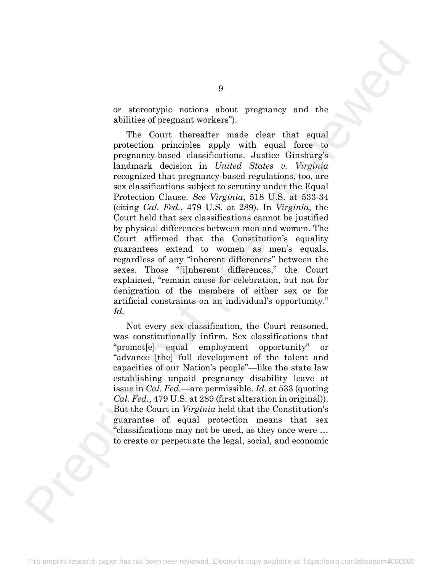or stereotypic notions about pregnancy and the abilities of pregnant workers").

The Court thereafter made clear that equal protection principles apply with equal force to pregnancy-based classifications. Justice Ginsburg's landmark decision in *United States v. Virginia* recognized that pregnancy-based regulations, too, are sex classifications subject to scrutiny under the Equal Protection Clause. *See Virginia*, 518 U.S. at 533-34 (citing *Cal. Fed.*, 479 U.S. at 289). In *Virginia*, the Court held that sex classifications cannot be justified by physical differences between men and women. The Court affirmed that the Constitution's equality guarantees extend to women as men's equals, regardless of any "inherent differences" between the sexes. Those "[i]nherent differences," the Court explained, "remain cause for celebration, but not for denigration of the members of either sex or for artificial constraints on an individual's opportunity." *Id.* 9 are the Count three<br>lines of peer reactions about pregnancy and the abilities of peer<br>ant workers). The Count incredict reminded ender that equal for<br>set of presention principles apply with equal forces to present<br>prese

Not every sex classification, the Court reasoned, was constitutionally infirm. Sex classifications that "promot[e] equal employment opportunity" or "advance [the] full development of the talent and capacities of our Nation's people"—like the state law establishing unpaid pregnancy disability leave at issue in *Cal. Fed.*—are permissible. *Id.* at 533 (quoting *Cal. Fed.*, 479 U.S. at 289 (first alteration in original)). But the Court in *Virginia* held that the Constitution's guarantee of equal protection means that sex "classifications may not be used, as they once were … to create or perpetuate the legal, social, and economic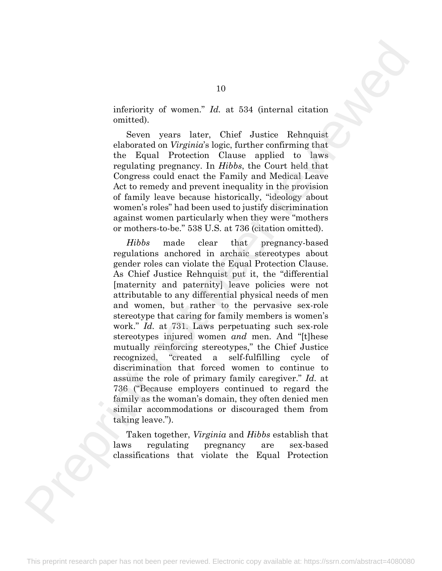inferiority of women." *Id.* at 534 (internal citation omitted).

Seven years later, Chief Justice Rehnquist elaborated on *Virginia*'s logic, further confirming that the Equal Protection Clause applied to laws regulating pregnancy. In *Hibbs*, the Court held that Congress could enact the Family and Medical Leave Act to remedy and prevent inequality in the provision of family leave because historically, "ideology about women's roles" had been used to justify discrimination against women particularly when they were "mothers or mothers-to-be." 538 U.S. at 736 (citation omitted).

*Hibbs* made clear that pregnancy-based regulations anchored in archaic stereotypes about gender roles can violate the Equal Protection Clause. As Chief Justice Rehnquist put it, the "differential [maternity and paternity] leave policies were not attributable to any differential physical needs of men and women, but rather to the pervasive sex-role stereotype that caring for family members is women's work." *Id.* at 731. Laws perpetuating such sex-role stereotypes injured women *and* men. And "[t]hese mutually reinforcing stereotypes," the Chief Justice recognized, "created a self-fulfilling cycle of discrimination that forced women to continue to assume the role of primary family caregiver." *Id.* at 736 ("Because employers continued to regard the family as the woman's domain, they often denied men similar accommodations or discouraged them from taking leave."). 10<br>
inferiority of women."  $Id.$  at 534 (internal citation controls).<br>
Subvariance of the simulation of the simulation of the simulation of the simulation of the simulation of the simulation of the simulation of the simula

Taken together, *Virginia* and *Hibbs* establish that laws regulating pregnancy are sex-based classifications that violate the Equal Protection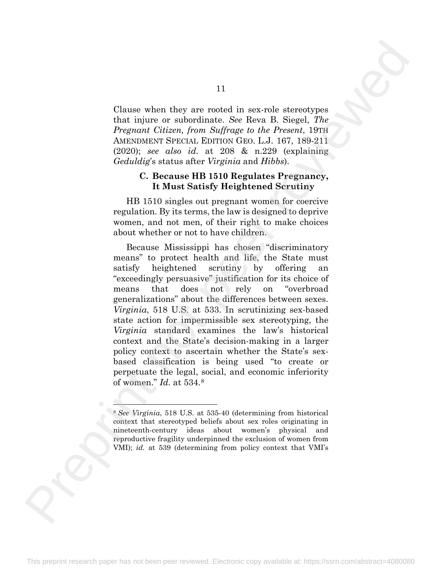Clause when they are rooted in sex-role stereotypes that injure or subordinate. *See* Reva B. Siegel, *The Pregnant Citizen, from Suffrage to the Present*, 19TH AMENDMENT SPECIAL EDITION GEO. L.J. 167, 189-211 (2020); *see also id.* at 208 & n.229 (explaining *Geduldig*'s status after *Virginia* and *Hibbs*).

#### **C. Because HB 1510 Regulates Pregnancy, It Must Satisfy Heightened Scrutiny**

HB 1510 singles out pregnant women for coercive regulation. By its terms, the law is designed to deprive women, and not men, of their right to make choices about whether or not to have children.

Because Mississippi has chosen "discriminatory means" to protect health and life, the State must satisfy heightened scrutiny by offering "exceedingly persuasive" justification for its choice of means that does not rely on "overbroad generalizations" about the differences between sexes. *Virginia*, 518 U.S. at 533. In scrutinizing sex-based state action for impermissible sex stereotyping, the *Virginia* standard examines the law's historical context and the State's decision-making in a larger policy context to ascertain whether the State's sexbased classification is being used "to create or perpetuate the legal, social, and economic inferiority of women." *Id.* at 534.8 Clause when they are rooted in section strengthes that injure or an<br>interdinate. See, leven is Suegel, The Maximum or animalization, See leven is Suegel, The Maximum Series (at 167, 189, 21, 197, 197, 197, 197, 197, 197,

<span id="page-22-0"></span><sup>8</sup> *See Virginia*, 518 U.S. at 535-40 (determining from historical context that stereotyped beliefs about sex roles originating in nineteenth-century ideas about women's physical and reproductive fragility underpinned the exclusion of women from VMI); *id.* at 539 (determining from policy context that VMI's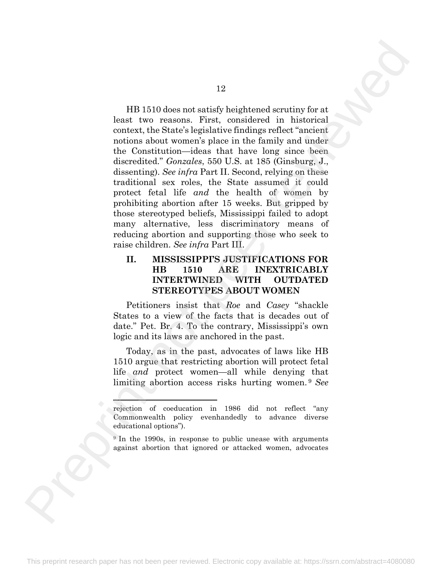HB 1510 does not satisfy heightened scrutiny for at least two reasons. First, considered in historical context, the State's legislative findings reflect "ancient notions about women's place in the family and under the Constitution—ideas that have long since been discredited." *Gonzales*, 550 U.S. at 185 (Ginsburg, J., dissenting). *See infra* Part II. Second, relying on these traditional sex roles, the State assumed it could protect fetal life *and* the health of women by prohibiting abortion after 15 weeks. But gripped by those stereotyped beliefs, Mississippi failed to adopt many alternative, less discriminatory means of reducing abortion and supporting those who seek to raise children. *See infra* Part III. 12<br>
HB 1510 does not sthirfy heightened acruitiny for at<br>
teach two vencions. Free, considered in butterical<br>
unitions abund womanize place is in the family and unitary<br>
the Constitution-ideas that have long since been<br>
d

#### **II. MISSISSIPPI'S JUSTIFICATIONS FOR HB 1510 ARE INEXTRICABLY INTERTWINED WITH OUTDATED STEREOTYPES ABOUT WOMEN**

Petitioners insist that *Roe* and *Casey* "shackle States to a view of the facts that is decades out of date." Pet. Br. 4. To the contrary, Mississippi's own logic and its laws are anchored in the past.

Today, as in the past, advocates of laws like HB 1510 argue that restricting abortion will protect fetal life *and* protect women—all while denying that limiting abortion access risks hurting women. <sup>9</sup> *See*

rejection of coeducation in 1986 did not reflect "any Commonwealth policy evenhandedly to advance diverse educational options").

<span id="page-23-0"></span><sup>9</sup> In the 1990s, in response to public unease with arguments against abortion that ignored or attacked women, advocates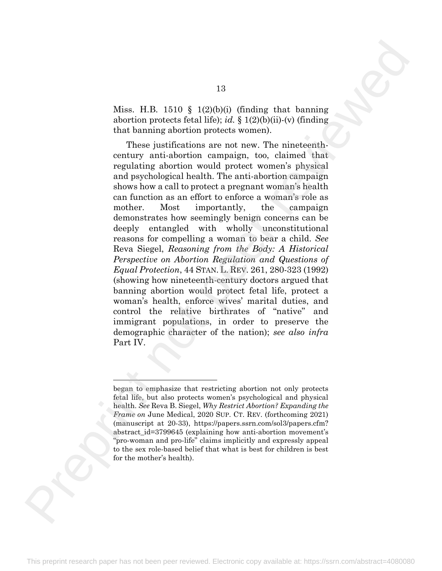Miss. H.B. 1510 § 1(2)(b)(i) (finding that banning abortion protects fetal life); *id.* § 1(2)(b)(ii)-(v) (finding that banning abortion protects women).

These justifications are not new. The nineteenthcentury anti-abortion campaign, too, claimed that regulating abortion would protect women's physical and psychological health. The anti-abortion campaign shows how a call to protect a pregnant woman's health can function as an effort to enforce a woman's role as mother. Most importantly, the campaign demonstrates how seemingly benign concerns can be deeply entangled with wholly unconstitutional reasons for compelling a woman to bear a child. *See* Reva Siegel, *Reasoning from the Body: A Historical Perspective on Abortion Regulation and Questions of Equal Protection*, 44 STAN. L. REV. 261, 280-323 (1992) (showing how nineteenth-century doctors argued that banning abortion would protect fetal life, protect a woman's health, enforce wives' marital duties, and control the relative birthrates of "native" and immigrant populations, in order to preserve the demographic character of the nation); *see also infra* Part IV. 13<br>
Mine. II.B. 1510 § 1(2)(b)() (finding that banning<br>
abortion protects from life), at § 1(2)(b)(f)-(c) (finding<br>
that the minimization control in the minimization of the minimization<br>
These justifications are not new.

began to emphasize that restricting abortion not only protects fetal life, but also protects women's psychological and physical health. *See* Reva B. Siegel, *Why Restrict Abortion? Expanding the Frame on* June Medical, 2020 SUP. CT. REV. (forthcoming 2021) (manuscript at 20-33), https://papers.ssrn.com/sol3/papers.cfm? abstract id=3799645 (explaining how anti-abortion movement's "pro-woman and pro-life" claims implicitly and expressly appeal to the sex role-based belief that what is best for children is best for the mother's health).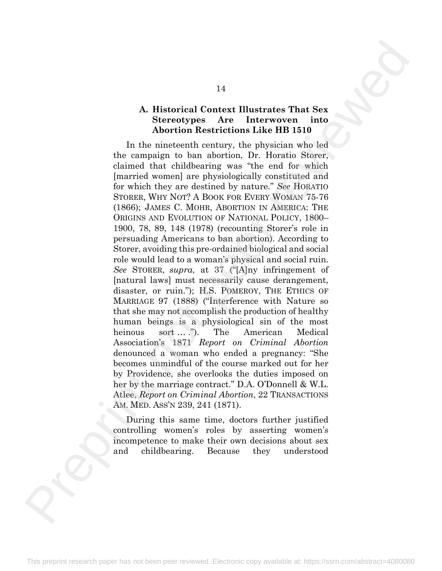#### **A. Historical Context Illustrates That Sex Stereotypes Are Interwoven into Abortion Restrictions Like HB 1510**

In the nineteenth century, the physician who led the campaign to ban abortion, Dr. Horatio Storer, claimed that childbearing was "the end for which [married women] are physiologically constituted and for which they are destined by nature." *See* HORATIO STORER, WHY NOT? A BOOK FOR EVERY WOMAN 75-76 (1866); JAMES C. MOHR, ABORTION IN AMERICA: THE ORIGINS AND EVOLUTION OF NATIONAL POLICY, 1800– 1900, 78, 89, 148 (1978) (recounting Storer's role in persuading Americans to ban abortion). According to Storer, avoiding this pre-ordained biological and social role would lead to a woman's physical and social ruin. *See* STORER, *supra*, at 37 ("[A]ny infringement of [natural laws] must necessarily cause derangement, disaster, or ruin."); H.S. POMEROY, THE ETHICS OF MARRIAGE 97 (1888) ("Interference with Nature so that she may not accomplish the production of healthy human beings is a physiological sin of the most heinous sort ...."). The American Medical Association's 1871 *Report on Criminal Abortion* denounced a woman who ended a pregnancy: "She becomes unmindful of the course marked out for her by Providence, she overlooks the duties imposed on her by the marriage contract." D.A. O'Donnell & W.L. Atlee, *Report on Criminal Abortion*, 22 TRANSACTIONS AM. MED. ASS'N 239, 241 (1871). 14<br>
A. Historical Context Illustrates That Sex<br>
Shoreotypes Are Interwoven into<br>
A chorrotypes Are Interwoven into<br>
The memberical centration of the HV for the HV for the complete<br>
In the ameleonic of the chorroto, the HV

During this same time, doctors further justified controlling women's roles by asserting women's incompetence to make their own decisions about sex and childbearing. Because they understood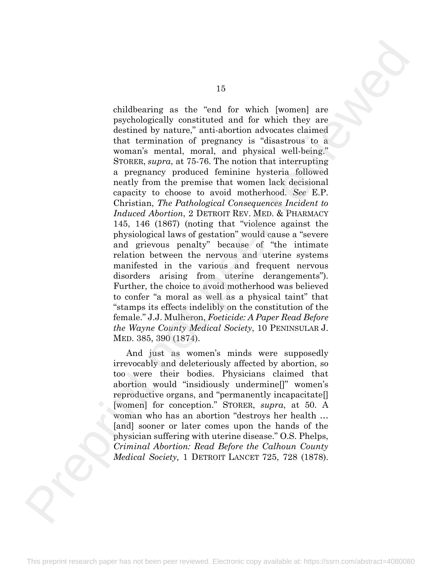childbearing as the "end for which [women] are psychologically constituted and for which they are destined by nature," anti-abortion advocates claimed that termination of pregnancy is "disastrous to a woman's mental, moral, and physical well-being." STORER, *supra*, at 75-76. The notion that interrupting a pregnancy produced feminine hysteria followed neatly from the premise that women lack decisional capacity to choose to avoid motherhood. *See* E.P. Christian, *The Pathological Consequences Incident to Induced Abortion*, 2 DETROIT REV. MED. & PHARMACY 145, 146 (1867) (noting that "violence against the physiological laws of gestation" would cause a "severe and grievous penalty" because of "the intimate relation between the nervous and uterine systems manifested in the various and frequent nervous disorders arising from uterine derangements"). Further, the choice to avoid motherhood was believed to confer "a moral as well as a physical taint" that "stamps its effects indelibly on the constitution of the female." J.J. Mulheron, *Foeticide: A Paper Read Before the Wayne County Medical Society*, 10 PENINSULAR J. MED. 385, 390 (1874). childbestring as the "end for which (women) are previously<br>construinted and for which (women) are previously<br>children in the "and for which they are that turning in the main in the<br>main in a pregnancy is "distanting the s

And just as women's minds were supposedly irrevocably and deleteriously affected by abortion, so too were their bodies. Physicians claimed that abortion would "insidiously undermine[]" women's reproductive organs, and "permanently incapacitate[] [women] for conception." STORER, *supra*, at 50. A woman who has an abortion "destroys her health … [and] sooner or later comes upon the hands of the physician suffering with uterine disease." O.S. Phelps, *Criminal Abortion: Read Before the Calhoun County Medical Society,* 1 DETROIT LANCET 725, 728 (1878).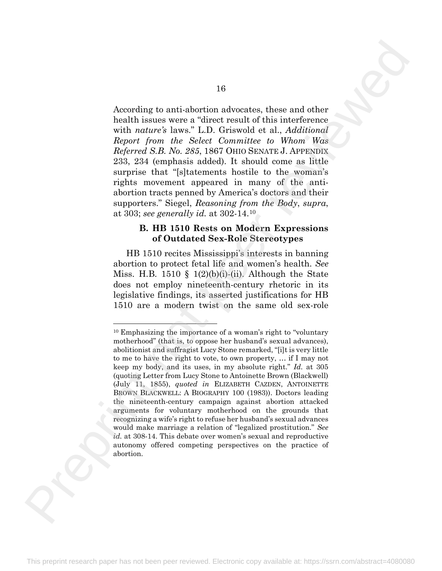According to anti-abortion advocates, these and other health issues were a "direct result of this interference with *nature's* laws." L.D. Griswold et al., *Additional Report from the Select Committee to Whom Was Referred S.B. No. 285*, 1867 OHIO SENATE J. APPENDIX 233, 234 (emphasis added). It should come as little surprise that "[s]tatements hostile to the woman's rights movement appeared in many of the antiabortion tracts penned by America's doctors and their supporters." Siegel, *Reasoning from the Body*, *supra*, at 303; *see generally id.* at 302-14.10

#### **B. HB 1510 Rests on Modern Expressions of Outdated Sex-Role Stereotypes**

<span id="page-27-0"></span>HB 1510 recites Mississippi's interests in banning abortion to protect fetal life and women's health. *See* Miss. H.B. 1510 § 1(2)(b)(i)-(ii). Although the State does not employ nineteenth-century rhetoric in its legislative findings, its asserted justifications for HB 1510 are a modern twist on the same old sex-role

<sup>10</sup> Emphasizing the importance of a woman's right to "voluntary motherhood" (that is, to oppose her husband's sexual advances), abolitionist and suffragist Lucy Stone remarked, "[i]t is very little to me to have the right to vote, to own property, … if I may not keep my body, and its uses, in my absolute right." *Id.* at 305 (quoting Letter from Lucy Stone to Antoinette Brown (Blackwell) (July 11, 1855), *quoted in* ELIZABETH CAZDEN, ANTOINETTE BROWN BLACKWELL: A BIOGRAPHY 100 (1983)). Doctors leading the nineteenth-century campaign against abortion attacked arguments for voluntary motherhood on the grounds that recognizing a wife's right to refuse her husband's sexual advances would make marriage a relation of "legalized prostitution." *See id.* at 308-14. This debate over women's sexual and reproductive autonomy offered competing perspectives on the practice of abortion. 16<b[r](#page-27-0)>
According to anti-abortion advocates, these and other<br>
breath breate wave a direct result of this interference<br>
Reprint from the Select Cornatice to William Single<br>
Reprint from the Select Cornatice to William Single<br>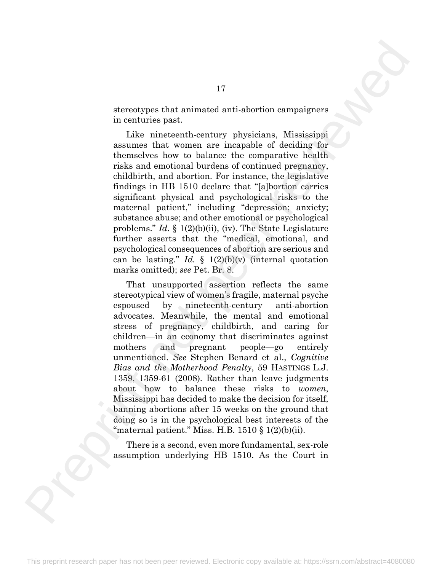stereotypes that animated anti-abortion campaigners in centuries past.

Like nineteenth-century physicians, Mississippi assumes that women are incapable of deciding for themselves how to balance the comparative health risks and emotional burdens of continued pregnancy, childbirth, and abortion. For instance, the legislative findings in HB 1510 declare that "[a]bortion carries significant physical and psychological risks to the maternal patient," including "depression; anxiety; substance abuse; and other emotional or psychological problems." *Id.* § 1(2)(b)(ii), (iv). The State Legislature further asserts that the "medical, emotional, and psychological consequences of abortion are serious and can be lasting." *Id.*  $\oint$  1(2)(b)(v) (internal quotation marks omitted); *see* Pet. Br. 8.

That unsupported assertion reflects the same stereotypical view of women's fragile, maternal psyche espoused by nineteenth-century anti-abortion advocates. Meanwhile, the mental and emotional stress of pregnancy, childbirth, and caring for children—in an economy that discriminates against mothers and pregnant people—go entirely unmentioned. *See* Stephen Benard et al., *Cognitive Bias and the Motherhood Penalty*, 59 HASTINGS L.J. 1359, 1359-61 (2008). Rather than leave judgments about how to balance these risks to *women*, Mississippi has decided to make the decision for itself, banning abortions after 15 weeks on the ground that doing so is in the psychological best interests of the "maternal patient." Miss. H.B.  $1510 \t{3} (2)(b)(ii)$ . 17 attenotypes that an<br>inated anti-abortion campaigners in centuries past. <br>
In centuries past. The method interviewed points assume that women are inceptible of deciding for<br>
tassumes that women are inceptible of decidin

There is a second, even more fundamental, sex-role assumption underlying HB 1510. As the Court in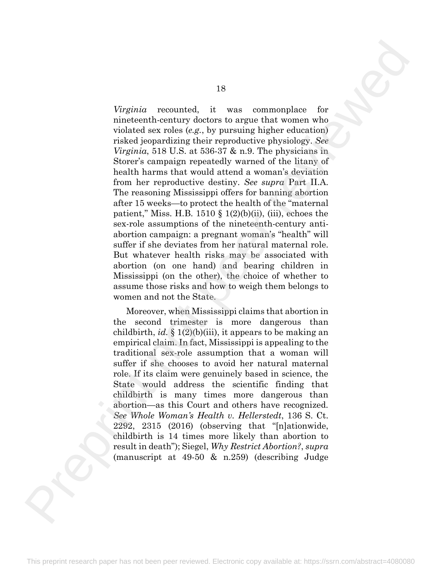*Virginia* recounted, it was commonplace for nineteenth-century doctors to argue that women who violated sex roles (*e.g.*, by pursuing higher education) risked jeopardizing their reproductive physiology. *See Virginia*, 518 U.S. at 536-37 & n.9. The physicians in Storer's campaign repeatedly warned of the litany of health harms that would attend a woman's deviation from her reproductive destiny. *See supra* Part II.A. The reasoning Mississippi offers for banning abortion after 15 weeks—to protect the health of the "maternal patient," Miss. H.B. 1510  $\S$  1(2)(b)(ii), (iii), echoes the sex-role assumptions of the nineteenth-century antiabortion campaign: a pregnant woman's "health" will suffer if she deviates from her natural maternal role. But whatever health risks may be associated with abortion (on one hand) and bearing children in Mississippi (on the other), the choice of whether to assume those risks and how to weigh them belongs to women and not the State. Figuria recounted, it was common<br>place for inteleventh-conting doctors in agree that women who this<br>denotically then transformation physical and the complete relation is<br>denoted by the strength of the complete reviewed in

Moreover, when Mississippi claims that abortion in the second trimester is more dangerous than childbirth, *id.* § 1(2)(b)(iii), it appears to be making an empirical claim. In fact, Mississippi is appealing to the traditional sex-role assumption that a woman will suffer if she chooses to avoid her natural maternal role. If its claim were genuinely based in science, the State would address the scientific finding that childbirth is many times more dangerous than abortion—as this Court and others have recognized. *See Whole Woman's Health v. Hellerstedt*, 136 S. Ct. 2292, 2315 (2016) (observing that "[n]ationwide, childbirth is 14 times more likely than abortion to result in death"); Siegel, *Why Restrict Abortion?*, *supra* (manuscript at 49-50 & n.259) (describing Judge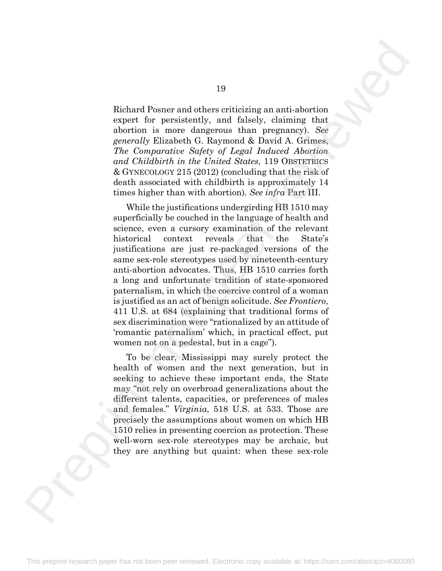Richard Posner and others criticizing an anti-abortion expert for persistently, and falsely, claiming that abortion is more dangerous than pregnancy). *See generally* Elizabeth G. Raymond & David A. Grimes, *The Comparative Safety of Legal Induced Abortion and Childbirth in the United States*, 119 OBSTETRICS & GYNECOLOGY 215 (2012) (concluding that the risk of death associated with childbirth is approximately 14 times higher than with abortion). *See infra* Part III.

While the justifications undergirding HB 1510 may superficially be couched in the language of health and science, even a cursory examination of the relevant historical context reveals that the State's justifications are just re-packaged versions of the same sex-role stereotypes used by nineteenth-century anti-abortion advocates. Thus, HB 1510 carries forth a long and unfortunate tradition of state-sponsored paternalism, in which the coercive control of a woman is justified as an act of benign solicitude. *See Frontiero*, 411 U.S. at 684 (explaining that traditional forms of sex discrimination were "rationalized by an attitude of 'romantic paternalism' which, in practical effect, put women not on a pedestal, but in a cage"). 19<br>
Richard Posner and others criticizing an anti-abortion<br>
experi. for person<br>entity, and falsely, claiming that<br>
experience the Discussion of Solvey of the sine and the sine and the sine and the<br>
experiment of Discussio

To be clear, Mississippi may surely protect the health of women and the next generation, but in seeking to achieve these important ends, the State may "not rely on overbroad generalizations about the different talents, capacities, or preferences of males and females." *Virginia*, 518 U.S. at 533. Those are precisely the assumptions about women on which HB 1510 relies in presenting coercion as protection. These well-worn sex-role stereotypes may be archaic, but they are anything but quaint: when these sex-role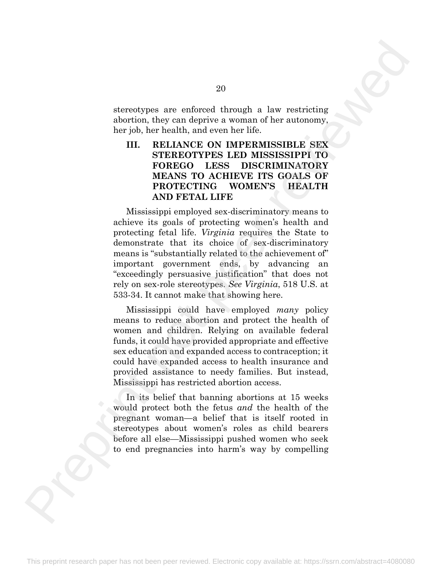stereotypes are enforced through a law restricting abortion, they can deprive a woman of her autonomy, her job, her health, and even her life.

#### **III. RELIANCE ON IMPERMISSIBLE SEX STEREOTYPES LED MISSISSIPPI TO FOREGO LESS DISCRIMINATORY MEANS TO ACHIEVE ITS GOALS OF PROTECTING WOMEN'S HEALTH AND FETAL LIFE**

Mississippi employed sex-discriminatory means to achieve its goals of protecting women's health and protecting fetal life. *Virginia* requires the State to demonstrate that its choice of sex-discriminatory means is "substantially related to the achievement of" important government ends, by advancing an "exceedingly persuasive justification" that does not rely on sex-role stereotypes. *See Virginia*, 518 U.S. at 533-34. It cannot make that showing here. 20<br>
aterootypes are enforced through a law vesticiting abortion, they can deprive a somal<br>
of the random of the maximum of the automory the particular theorem.<br>
HE RELIANCE ON IMPERIMISSIBLE SEX THE RELIANCE ON IMPERIMENT

Mississippi could have employed *many* policy means to reduce abortion and protect the health of women and children. Relying on available federal funds, it could have provided appropriate and effective sex education and expanded access to contraception; it could have expanded access to health insurance and provided assistance to needy families. But instead, Mississippi has restricted abortion access.

In its belief that banning abortions at 15 weeks would protect both the fetus *and* the health of the pregnant woman—a belief that is itself rooted in stereotypes about women's roles as child bearers before all else—Mississippi pushed women who seek to end pregnancies into harm's way by compelling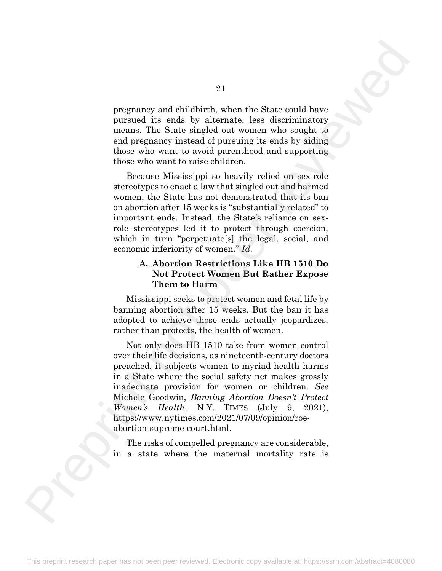pregnancy and childbirth, when the State could have pursued its ends by alternate, less discriminatory means. The State singled out women who sought to end pregnancy instead of pursuing its ends by aiding those who want to avoid parenthood and supporting those who want to raise children.

Because Mississippi so heavily relied on sex-role stereotypes to enact a law that singled out and harmed women, the State has not demonstrated that its ban on abortion after 15 weeks is "substantially related" to important ends. Instead, the State's reliance on sexrole stereotypes led it to protect through coercion, which in turn "perpetuate[s] the legal, social, and economic inferiority of women." *Id.*

#### **A. Abortion Restrictions Like HB 1510 Do Not Protect Women But Rather Expose Them to Harm**

Mississippi seeks to protect women and fetal life by banning abortion after 15 weeks. But the ban it has adopted to achieve those ends actually jeopardizes, rather than protects, the health of women.

Not only does HB 1510 take from women control over their life decisions, as nineteenth-century doctors preached, it subjects women to myriad health harms in a State where the social safety net makes grossly inadequate provision for women or children. *See*  Michele Goodwin, *Banning Abortion Doesn't Protect Women's Health*, N.Y. TIMES (July 9, 2021), https://www.nytimes.com/2021/07/09/opinion/roeabortion-supreme-court.html. 21<br>
1921 - pregramacy and childhirth, when the State could have more<br>seen that ends by internate, less cherreminatory compared the such<br>as the internation of material per results of the such as the such<br>that there we want

The risks of compelled pregnancy are considerable, in a state where the maternal mortality rate is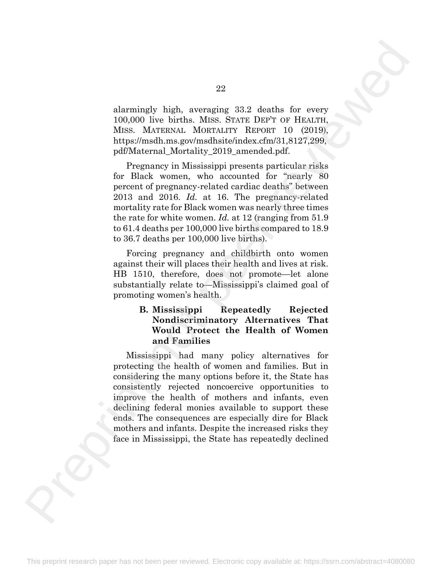alarmingly high, averaging 33.2 deaths for every 100,000 live births. MISS. STATE DEP'T OF HEALTH, MISS. MATERNAL MORTALITY REPORT 10 (2019), https://msdh.ms.gov/msdhsite/index.cfm/31,8127,299, pdf/Maternal\_Mortality\_2019\_amended.pdf.

Pregnancy in Mississippi presents particular risks for Black women, who accounted for "nearly 80 percent of pregnancy-related cardiac deaths" between 2013 and 2016. *Id.* at 16. The pregnancy-related mortality rate for Black women was nearly three times the rate for white women. *Id.* at 12 (ranging from 51.9 to 61.4 deaths per 100,000 live births compared to 18.9 to 36.7 deaths per 100,000 live births).

Forcing pregnancy and childbirth onto women against their will places their health and lives at risk. HB 1510, therefore, does not promote—let alone substantially relate to—Mississippi's claimed goal of promoting women's health.

#### **B. Mississippi Repeatedly Rejected Nondiscriminatory Alternatives That Would Protect the Health of Women and Families**

Mississippi had many policy alternatives for protecting the health of women and families. But in considering the many options before it, the State has consistently rejected noncoercive opportunities to improve the health of mothers and infants, even declining federal monies available to support these ends. The consequences are especially dire for Black mothers and infants. Despite the increased risks they face in Mississippi, the State has repeatedly declined 22<br>
22<br>
18<br/>schuring 23, dasha for every 100:000 lives hires. MSS, irreviewed in the<br/>of the mass in the limit is performed in the mass in the performance of<br/>performance of the performance of the performance of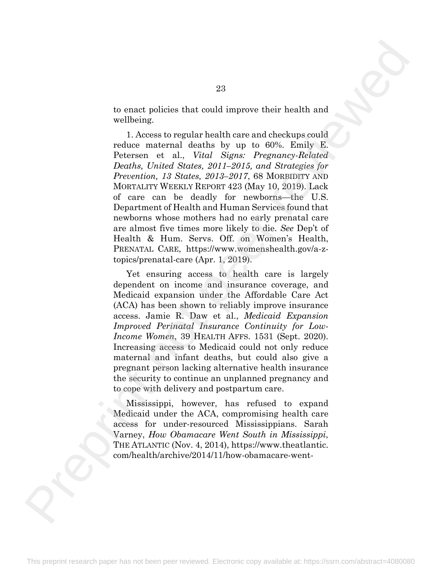to enact policies that could improve their health and wellbeing.

1. Access to regular health care and checkups could reduce maternal deaths by up to 60%. Emily E. Petersen et al., *Vital Signs: Pregnancy-Related Deaths, United States, 2011–2015, and Strategies for Prevention, 13 States, 2013–2017*, 68 MORBIDITY AND MORTALITY WEEKLY REPORT 423 (May 10, 2019). Lack of care can be deadly for newborns—the U.S. Department of Health and Human Services found that newborns whose mothers had no early prenatal care are almost five times more likely to die. *See* Dep't of Health & Hum. Servs. Off. on Women's Health, PRENATAL CARE, https://www.womenshealth.gov/a-ztopics/prenatal-care (Apr. 1, 2019). 23<br>
10 onact policies that could improve their health and<br>
wellbeing.<br>
1. Access to regular health a by up to 607s. Emily E.<br>
reduce maternal deaths by up to 607s. Emily E.<br>
Peterse. at al., Vitel Signe Prepriome Monday (

Yet ensuring access to health care is largely dependent on income and insurance coverage, and Medicaid expansion under the Affordable Care Act (ACA) has been shown to reliably improve insurance access. Jamie R. Daw et al., *Medicaid Expansion Improved Perinatal Insurance Continuity for Low-Income Women*, 39 HEALTH AFFS. 1531 (Sept. 2020). Increasing access to Medicaid could not only reduce maternal and infant deaths, but could also give a pregnant person lacking alternative health insurance the security to continue an unplanned pregnancy and to cope with delivery and postpartum care.

Mississippi, however, has refused to expand Medicaid under the ACA, compromising health care access for under-resourced Mississippians. Sarah Varney, *How Obamacare Went South in Mississippi*, THE ATLANTIC (Nov. 4, 2014), https://www.theatlantic. com/health/archive/2014/11/how-obamacare-went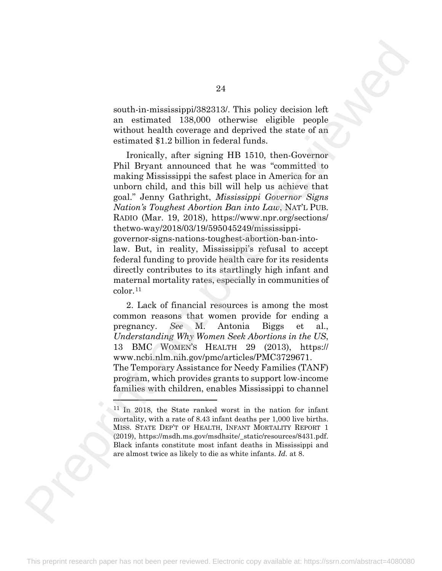south-in-mississippi/382313/. This policy decision left an estimated 138,000 otherwise eligible people without health coverage and deprived the state of an estimated \$1.2 billion in federal funds.

Ironically, after signing HB 1510, then-Governor Phil Bryant announced that he was "committed to making Mississippi the safest place in America for an unborn child, and this bill will help us achieve that goal." Jenny Gathright, *Mississippi Governor Signs Nation's Toughest Abortion Ban into Law*, NAT'L PUB. RADIO (Mar. 19, 2018), https://www.npr.org/sections/ thetwo-way/2018/03/19/595045249/mississippigovernor-signs-nations-toughest-abortion-ban-intolaw. But, in reality, Mississippi's refusal to accept federal funding to provide health care for its residents directly contributes to its startlingly high infant and maternal mortality rates, especially in communities of color.11 24<br>
a<br>
anth-in-mississippi<br/>28241.39. This policy decision left to enchanted 128,000 ratherwise slight<br/>le people costmated \$1.2 billines in closural model, we can be related \$1.2 billines in closural model, we can

2. Lack of financial resources is among the most common reasons that women provide for ending a pregnancy. *See* M. Antonia Biggs et al., *Understanding Why Women Seek Abortions in the US*, 13 BMC WOMEN'S HEALTH 29 (2013), https:// www.ncbi.nlm.nih.gov/pmc/articles/PMC3729671. The Temporary Assistance for Needy Families (TANF) program, which provides grants to support low-income families with children, enables Mississippi to channel

<span id="page-35-0"></span><sup>11</sup> In 2018, the State ranked worst in the nation for infant mortality, with a rate of 8.43 infant deaths per 1,000 live births. MISS. STATE DEP'T OF HEALTH, INFANT MORTALITY REPORT 1 (2019), https://msdh.ms.gov/msdhsite/\_static/resources/8431.pdf. Black infants constitute most infant deaths in Mississippi and are almost twice as likely to die as white infants. *Id.* at 8.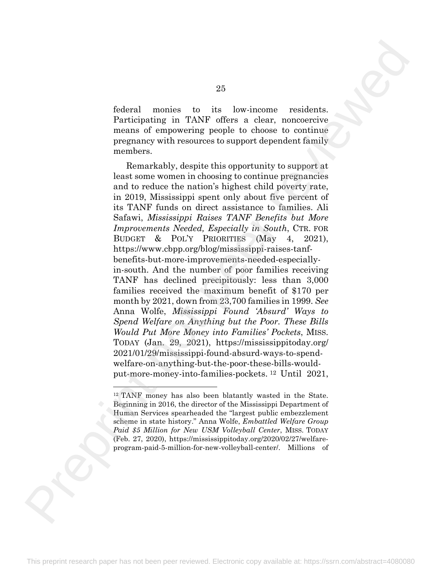federal monies to its low-income residents. Participating in TANF offers a clear, noncoercive means of empowering people to choose to continue pregnancy with resources to support dependent family members.

Remarkably, despite this opportunity to support at least some women in choosing to continue pregnancies and to reduce the nation's highest child poverty rate, in 2019, Mississippi spent only about five percent of its TANF funds on direct assistance to families. Ali Safawi, *Mississippi Raises TANF Benefits but More Improvements Needed, Especially in South*, CTR. FOR BUDGET & POL'Y PRIORITIES (May 4, 2021), https://www.cbpp.org/blog/mississippi-raises-tanfbenefits-but-more-improvements-needed-especiallyin-south. And the number of poor families receiving TANF has declined precipitously: less than 3,000 families received the maximum benefit of \$170 per month by 2021, down from 23,700 families in 1999. *See*  Anna Wolfe, *Mississippi Found 'Absurd' Ways to Spend Welfare on Anything but the Poor. These Bills Would Put More Money into Families' Pockets*, MISS. TODAY (Jan. 29, 2021), https://mississippitoday.org/ 2021/01/29/mississippi-found-absurd-ways-to-spendwelfare-on-anything-but-the-poor-these-bills-wouldput-more-money-into-families-pockets. <sup>12</sup> Until 2021, Preprint not peer reviewed

<span id="page-36-0"></span><sup>12</sup> TANF money has also been blatantly wasted in the State. Beginning in 2016, the director of the Mississippi Department of Human Services spearheaded the "largest public embezzlement scheme in state history." Anna Wolfe, *Embattled Welfare Group Paid \$5 Million for New USM Volleyball Center*, MISS. TODAY (Feb. 27, 2020), https://mississippitoday.org/2020/02/27/welfareprogram-paid-5-million-for-new-volleyball-center/. Millions of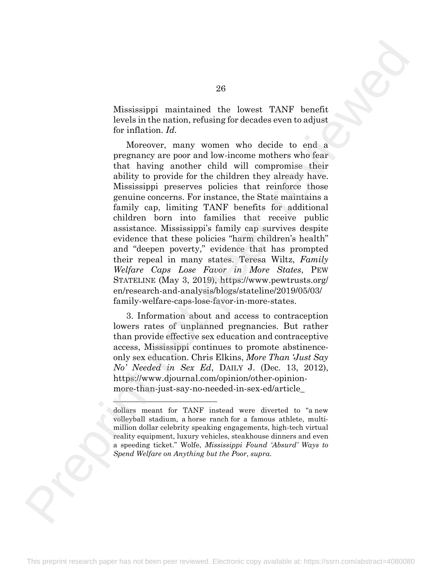Mississippi maintained the lowest TANF benefit levels in the nation, refusing for decades even to adjust for inflation. *Id.*

Moreover, many women who decide to end a pregnancy are poor and low-income mothers who fear that having another child will compromise their ability to provide for the children they already have. Mississippi preserves policies that reinforce those genuine concerns. For instance, the State maintains a family cap, limiting TANF benefits for additional children born into families that receive public assistance. Mississippi's family cap survives despite evidence that these policies "harm children's health" and "deepen poverty," evidence that has prompted their repeal in many states. Teresa Wiltz, *Family Welfare Caps Lose Favor in More States*, PEW STATELINE (May 3, 2019), https://www.pewtrusts.org/ en/research-and-analysis/blogs/stateline/2019/05/03/ family-welfare-caps-lose-favor-in-more-states. 26 $\label{eq:21}$  Minstessippi maintained the lowest TANF benefit irredict<br>in the information, reducing for decades even to adjust involvementaris,<br> $n_{\rm H}$  many womant who decide to end a more<br>prepare are non and too measure

3. Information about and access to contraception lowers rates of unplanned pregnancies. But rather than provide effective sex education and contraceptive access, Mississippi continues to promote abstinenceonly sex education. Chris Elkins, *More Than 'Just Say No' Needed in Sex Ed*, DAILY J. (Dec. 13, 2012), https://www.djournal.com/opinion/other-opinionmore-than-just-say-no-needed-in-sex-ed/article\_

dollars meant for TANF instead were diverted to "a new volleyball stadium, a horse ranch for a famous athlete, multimillion dollar celebrity speaking engagements, high-tech virtual reality equipment, luxury vehicles, steakhouse dinners and even a speeding ticket." Wolfe, *Mississippi Found 'Absurd' Ways to Spend Welfare on Anything but the Poor*, *supra*.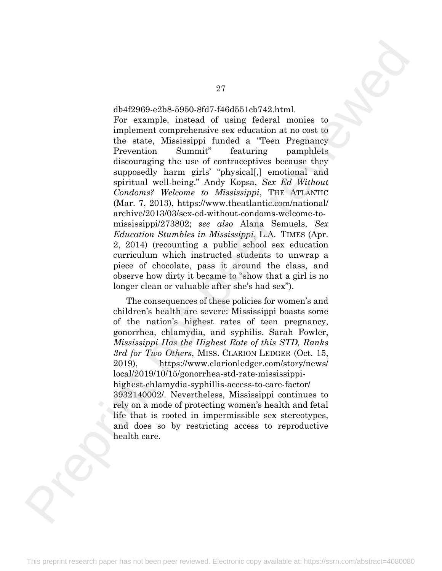#### db4f2969-e2b8-5950-8fd7-f46d551cb742.html.

For example, instead of using federal monies to implement comprehensive sex education at no cost to the state, Mississippi funded a "Teen Pregnancy Prevention Summit" featuring pamphlets discouraging the use of contraceptives because they supposedly harm girls' "physical[,] emotional and spiritual well-being." Andy Kopsa, *Sex Ed Without Condoms? Welcome to Mississippi*, THE ATLANTIC (Mar. 7, 2013), https://www.theatlantic.com/national/ archive/2013/03/sex-ed-without-condoms-welcome-tomississippi/273802; *see also* Alana Semuels, *Sex Education Stumbles in Mississippi*, L.A. TIMES (Apr. 2, 2014) (recounting a public school sex education curriculum which instructed students to unwrap a piece of chocolate, pass it around the class, and observe how dirty it became to "show that a girl is no longer clean or valuable after she's had sex").  $\label{eq:2.1}$ dbri<br/>2003–2808–5050-867 e2 kml. or normule, inneted of using fascical matrix to the<br/>simulation of the state of the state of the state of the state of the<br/>example matrix of the state of the state of

The consequences of these policies for women's and children's health are severe: Mississippi boasts some of the nation's highest rates of teen pregnancy, gonorrhea, chlamydia, and syphilis. Sarah Fowler, *Mississippi Has the Highest Rate of this STD, Ranks 3rd for Two Others*, MISS. CLARION LEDGER (Oct. 15, 2019), https://www.clarionledger.com/story/news/ local/2019/10/15/gonorrhea-std-rate-mississippihighest-chlamydia-syphillis-access-to-care-factor/ 3932140002/. Nevertheless, Mississippi continues to rely on a mode of protecting women's health and fetal life that is rooted in impermissible sex stereotypes, and does so by restricting access to reproductive health care.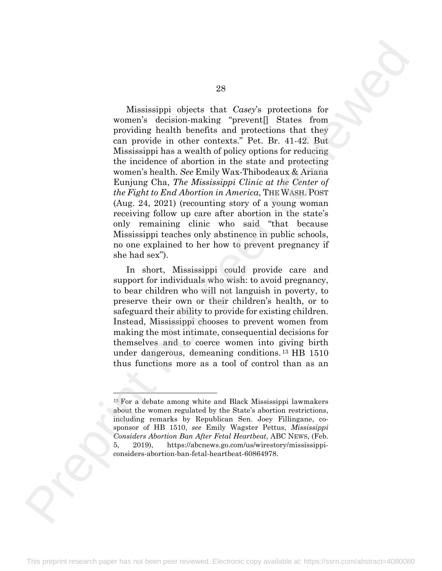Mississippi objects that *Casey*'s protections for women's decision-making "prevent[] States from providing health benefits and protections that they can provide in other contexts." Pet. Br. 41-42. But Mississippi has a wealth of policy options for reducing the incidence of abortion in the state and protecting women's health. *See* Emily Wax-Thibodeaux & Ariana Eunjung Cha, *The Mississippi Clinic at the Center of the Fight to End Abortion in America*, THE WASH. POST (Aug. 24, 2021) (recounting story of a young woman receiving follow up care after abortion in the state's only remaining clinic who said "that because Mississippi teaches only abstinence in public schools, no one explained to her how to prevent pregnancy if she had sex"). Missian<br>sippi objects that Coney's protections for women's decision-making "preventi] Slates from text of decision-making "preventi] Slates from text of the state of a<br>horizon-making the making control of the state of the

In short, Mississippi could provide care and support for individuals who wish: to avoid pregnancy, to bear children who will not languish in poverty, to preserve their own or their children's health, or to safeguard their ability to provide for existing children. Instead, Mississippi chooses to prevent women from making the most intimate, consequential decisions for themselves and to coerce women into giving birth under dangerous, demeaning conditions. 13 HB 1510 thus functions more as a tool of control than as an

<span id="page-39-0"></span><sup>13</sup> For a debate among white and Black Mississippi lawmakers about the women regulated by the State's abortion restrictions, including remarks by Republican Sen. Joey Fillingane, cosponsor of HB 1510, *see* Emily Wagster Pettus, *Mississippi Considers Abortion Ban After Fetal Heartbeat*, ABC NEWS, (Feb. 5, 2019), https://abcnews.go.com/us/wirestory/mississippiconsiders-abortion-ban-fetal-heartbeat-60864978.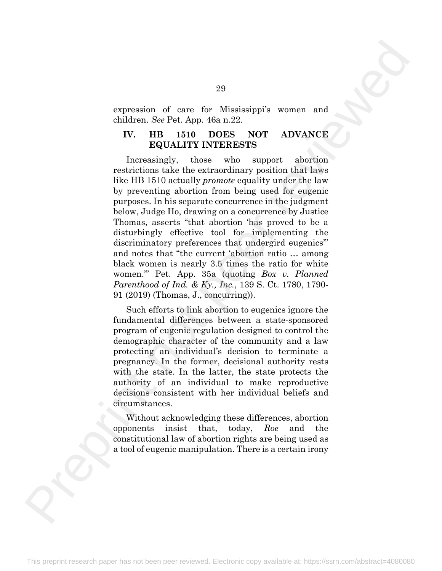expression of care for Mississippi's women and children. *See* Pet. App. 46a n.22.

#### **IV. HB 1510 DOES NOT ADVANCE EQUALITY INTERESTS**

Increasingly, those who support abortion restrictions take the extraordinary position that laws like HB 1510 actually *promote* equality under the law by preventing abortion from being used for eugenic purposes. In his separate concurrence in the judgment below, Judge Ho, drawing on a concurrence by Justice Thomas, asserts "that abortion 'has proved to be a disturbingly effective tool for implementing the discriminatory preferences that undergird eugenics" and notes that "the current 'abortion ratio … among black women is nearly 3.5 times the ratio for white women.'" Pet. App. 35a (quoting *Box v. Planned Parenthood of Ind. & Ky., Inc.*, 139 S. Ct. 1780, 1790- 91 (2019) (Thomas, J., concurring)). 29<br>
expression of care for Mississippi's women and<br>
children, See Pee, App. 46a n.22.<br>
IV. HB 1510 DOFSS NOT ADVANCE<br>
DEQUALITY INTERESTS<br>
DEQUALITY INTERESTS<br>
through the case who support a distribution to the case of th

Such efforts to link abortion to eugenics ignore the fundamental differences between a state-sponsored program of eugenic regulation designed to control the demographic character of the community and a law protecting an individual's decision to terminate a pregnancy. In the former, decisional authority rests with the state. In the latter, the state protects the authority of an individual to make reproductive decisions consistent with her individual beliefs and circumstances.

Without acknowledging these differences, abortion opponents insist that, today, *Roe* and the constitutional law of abortion rights are being used as a tool of eugenic manipulation. There is a certain irony

29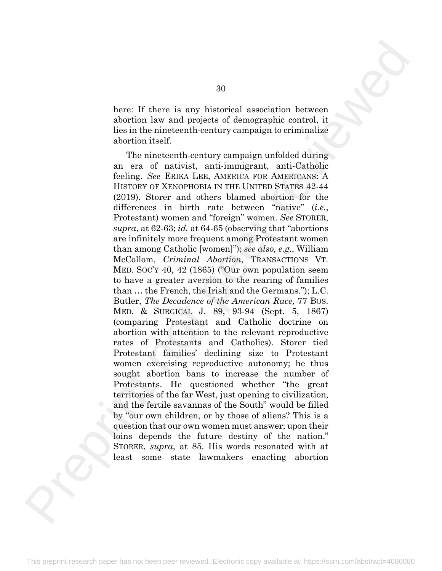here: If there is any historical association between abortion law and projects of demographic control, it lies in the nineteenth-century campaign to criminalize abortion itself.

The nineteenth-century campaign unfolded during an era of nativist, anti-immigrant, anti-Catholic feeling. *See* ERIKA LEE, AMERICA FOR AMERICANS: A HISTORY OF XENOPHOBIA IN THE UNITED STATES 42-44 (2019). Storer and others blamed abortion for the differences in birth rate between "native" (*i.e.*, Protestant) women and "foreign" women. *See* STORER, *supra*, at 62-63; *id.* at 64-65 (observing that "abortions are infinitely more frequent among Protestant women than among Catholic [women]"); *see also, e.g.*, William McCollom, *Criminal Abortion*, TRANSACTIONS VT. MED. SOC'Y 40, 42 (1865) ("Our own population seem to have a greater aversion to the rearing of families than … the French, the Irish and the Germans."); L.C. Butler, *The Decadence of the American Race,* 77 BOS. MED. & SURGICAL J. 89, 93-94 (Sept. 5, 1867) (comparing Protestant and Catholic doctrine on abortion with attention to the relevant reproductive rates of Protestants and Catholics). Storer tied Protestant families' declining size to Protestant women exercising reproductive autonomy; he thus sought abortion bans to increase the number of Protestants. He questioned whether "the great territories of the far West, just opening to civilization, and the fertile savannas of the South" would be filled by "our own children, or by those of aliens? This is a question that our own women must answer; upon their loins depends the future destiny of the nation." STORER, *supra*, at 85. His words resonated with at least some state lawmakers enacting abortion 30<br>
haves: If there is any historical association between<br>
hordion law and projects of demographic control, it<br>
chorical installed control control in the method control in the method control in the method control of the m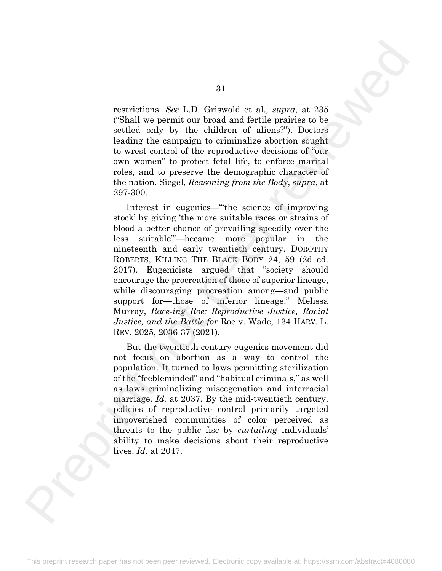restrictions. *See* L.D. Griswold et al., *supra*, at 235 ("Shall we permit our broad and fertile prairies to be settled only by the children of aliens?"). Doctors leading the campaign to criminalize abortion sought to wrest control of the reproductive decisions of "our own women" to protect fetal life, to enforce marital roles, and to preserve the demographic character of the nation. Siegel, *Reasoning from the Body*, *supra*, at 297-300.

Interest in eugenics—"'the science of improving stock' by giving 'the more suitable races or strains of blood a better chance of prevailing speedily over the less suitable'"—became more popular in the nineteenth and early twentieth century. DOROTHY ROBERTS, KILLING THE BLACK BODY 24, 59 (2d ed. 2017). Eugenicists argued that "society should encourage the procreation of those of superior lineage, while discouraging procreation among—and public support for—those of inferior lineage." Melissa Murray, *Race-ing Roe: Reproductive Justice, Racial Justice, and the Battle for* Roe v. Wade, 134 HARV. L. REV. 2025, 2036-37 (2021). 31<br>restrictions. See L.D. Griswool et al., *supro*, at 235<br>(Shall we permit our broad and fortile persistes to be<br>the function form in the function of reviewed and fortile persistes to be<br>the function of reviewed by two c

But the twentieth century eugenics movement did not focus on abortion as a way to control the population. It turned to laws permitting sterilization of the "feebleminded" and "habitual criminals," as well as laws criminalizing miscegenation and interracial marriage. *Id.* at 2037. By the mid-twentieth century, policies of reproductive control primarily targeted impoverished communities of color perceived as threats to the public fisc by *curtailing* individuals' ability to make decisions about their reproductive lives. *Id.* at 2047.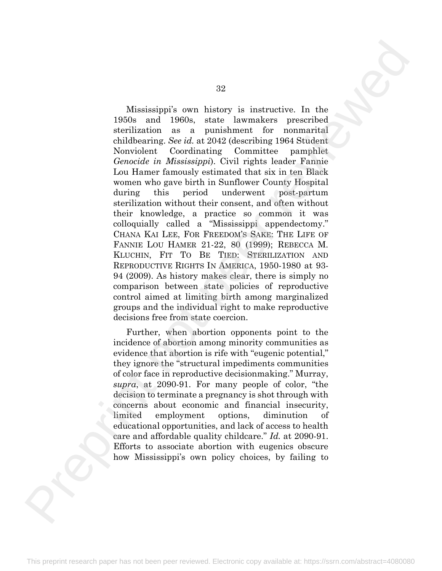Mississippi's own history is instructive. In the 1950s and 1960s, state lawmakers prescribed sterilization as a punishment for nonmarital childbearing. *See id.* at 2042 (describing 1964 Student Nonviolent Coordinating Committee pamphlet *Genocide in Mississippi*). Civil rights leader Fannie Lou Hamer famously estimated that six in ten Black women who gave birth in Sunflower County Hospital during this period underwent post-partum sterilization without their consent, and often without their knowledge, a practice so common it was colloquially called a "Mississippi appendectomy." CHANA KAI LEE, FOR FREEDOM'S SAKE: THE LIFE OF FANNIE LOU HAMER 21-22, 80 (1999); REBECCA M. KLUCHIN, FIT TO BE TIED: STERILIZATION AND REPRODUCTIVE RIGHTS IN AMERICA, 1950-1980 at 93- 94 (2009). As history makes clear, there is simply no comparison between state policies of reproductive control aimed at limiting birth among marginalized groups and the individual right to make reproductive decisions free from state coercion. 32<br>
Missinsippi's awa history is instructive. In the 1966s and 1960s, want inwards<br>rev prescribed stabilizering. See id. 19724 Geomittee parameterized<br>and the condition of the state invariance of the matched condition in

Further, when abortion opponents point to the incidence of abortion among minority communities as evidence that abortion is rife with "eugenic potential," they ignore the "structural impediments communities of color face in reproductive decisionmaking." Murray, *supra*, at 2090-91. For many people of color, "the decision to terminate a pregnancy is shot through with concerns about economic and financial insecurity, limited employment options, diminution of educational opportunities, and lack of access to health care and affordable quality childcare." *Id.* at 2090-91. Efforts to associate abortion with eugenics obscure how Mississippi's own policy choices, by failing to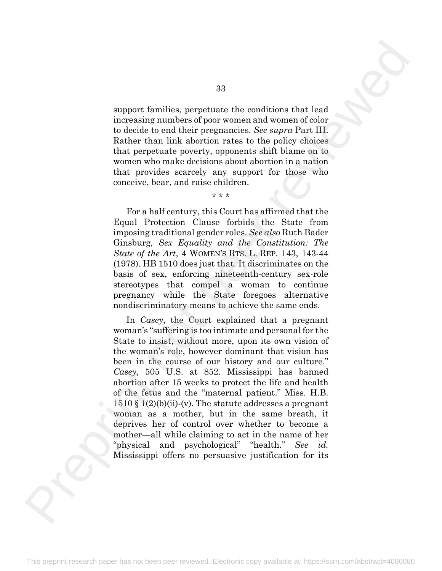support families, perpetuate the conditions that lead increasing numbers of poor women and women of color to decide to end their pregnancies. *See supra* Part III. Rather than link abortion rates to the policy choices that perpetuate poverty, opponents shift blame on to women who make decisions about abortion in a nation that provides scarcely any support for those who conceive, bear, and raise children.

\* \* \*

For a half century, this Court has affirmed that the Equal Protection Clause forbids the State from imposing traditional gender roles. *See also* Ruth Bader Ginsburg*, Sex Equality and the Constitution: The State of the Art*, 4 WOMEN'S RTS. L. REP. 143, 143-44 (1978). HB 1510 does just that. It discriminates on the basis of sex, enforcing nineteenth-century sex-role stereotypes that compel a woman to continue pregnancy while the State foregoes alternative nondiscriminatory means to achieve the same ends.

In *Casey*, the Court explained that a pregnant woman's "suffering is too intimate and personal for the State to insist, without more, upon its own vision of the woman's role, however dominant that vision has been in the course of our history and our culture." *Casey*, 505 U.S. at 852. Mississippi has banned abortion after 15 weeks to protect the life and health of the fetus and the "maternal patient." Miss. H.B.  $1510 \text{ }\mathcal{S}$  1(2)(b)(ii)-(v). The statute addresses a pregnant woman as a mother, but in the same breath, it deprives her of control over whether to become a mother—all while claiming to act in the name of her "physical and psychological" "health." *See id.* Mississippi offers no persuasive justification for its 33<br>
aupport families, perpetuate the conditions that lead<br>
increasing cumbers of pose women and women of color<br>
facture than links above two more and women of color<br>
facture than links above that policies the policies of

33